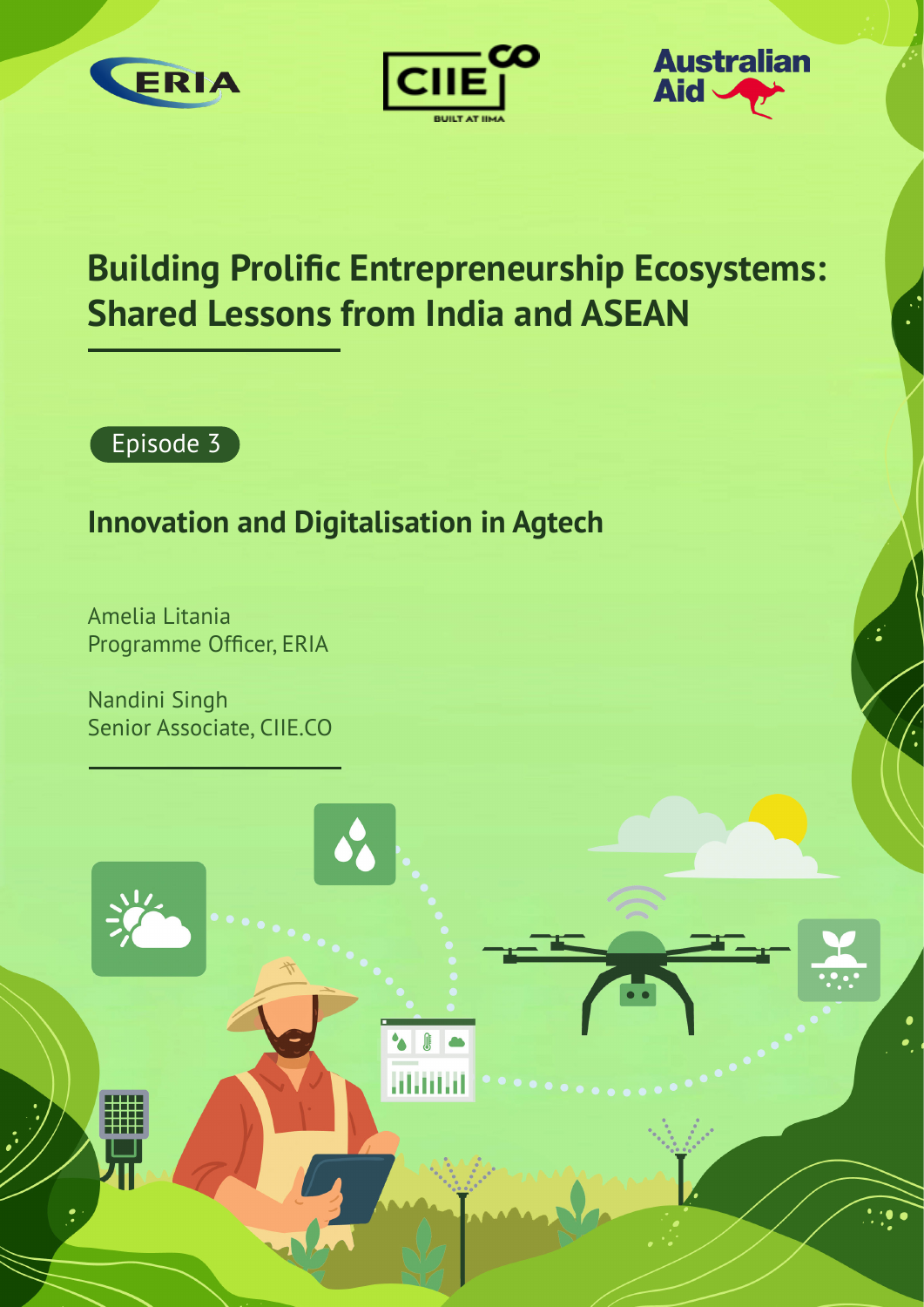





## **Building Prolific Entrepreneurship Ecosystems: Shared Lessons from India and ASEAN**

**JF** 



### **Innovation and Digitalisation in Agtech**

Amelia Litania Programme Officer, ERIA

Nandini Singh Senior Associate, CIIE.CO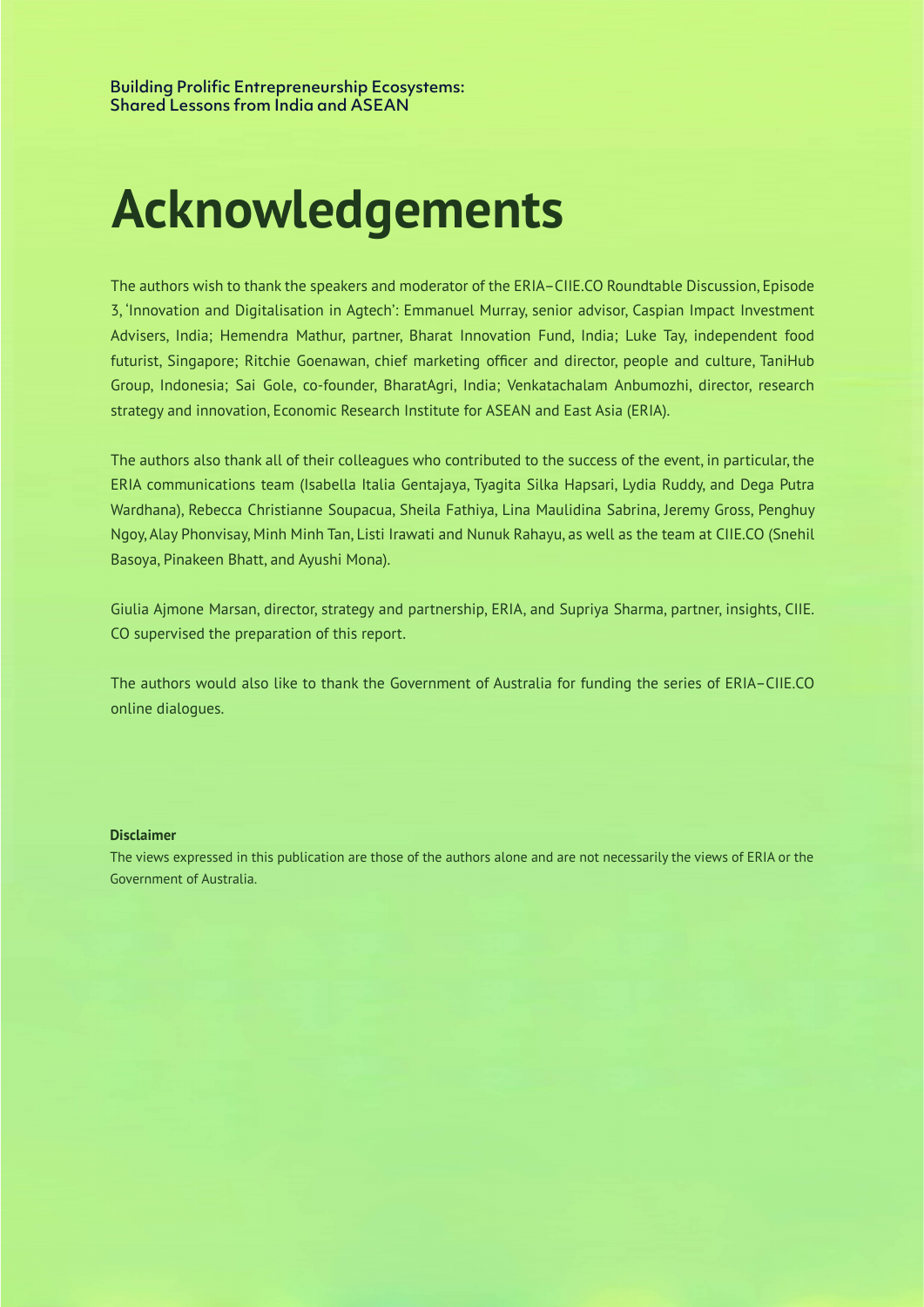# **Acknowledgements Acknowledgements**

The authors wish to thank the speakers and moderator of the ERIA–CIIE.CO Roundtable Discussion, Episode as 'Innovation and Digitalisation in Agtech': Emmanuel Murray, senior advisor, Caspian Impact Investment futurist, Singapore; Ritchie Goenawan, chief marketing officer and director, people and culture, TaniHub Scientific Adviser of India; Michelle India; Michelle Ng, Singapore; Mel 2003.<br>Group, Indonesia; Sai Gole, co-founder, BharatAgri, India; Venkatachalam Anbumozhi, director, research strategy and innovation, Economic Research Institute for ASEAN and East Asia (ERIA). Advisers, India; Hemendra Mathur, partner, Bharat Innovation Fund, India; Luke Tay, independent food

The authors also thank all of their colleagues who contributed to the success of the event, in particular, the era<br>ERIA communications team (Isabella Italia Gentajaya, Tyagita Silka Hapsari, Lydia Ruddy, and Dega Putra wardhana), Rebecca Christianne Soupacua, Sheila Fathiya, Lina Maulidina Sabrina, Jeremy Gross, Penghuy engoy, Alay Phonvisay, Minh Minh Tan, Listi Irawati and Nunuk Rahayu, as well as the team at CIIE.CO (Snehil Mulani, P Basoya, Pinakeen Bhatt, and Ayushi Mona).

Giulia Ajmone Marsan, director, strategy and partnership, ERIA, and Supriya Sharma, partner, insights, CIIE. which by Giulia Ajmone Marsan, Lina Marsan, Lina Marsan, Lina Marsan, Lina Marsan, Lina Marsan, Lina Marsan, Li<br>CO supervised the preparation of this report.

The authors would also like to thank the Government of Australia for funding the series of ERIA–CIIE.CO online dialogues. online dialogues.

#### The Australian Government funded this report and this report and the ERIA–CIIE.CO Roundtable Discussions through the ERIA–CIIE.CO Roundtable Discussions through the ERIA–CIIE.CO Roundtable Discussions through the ERIA–CIIE **Disclaimer**

The views expressed in this publication are those of the authors alone and are not necessarily the views of ERIA or the and are not necessarily the views of ERIA or the Australian Government. Government of Australia.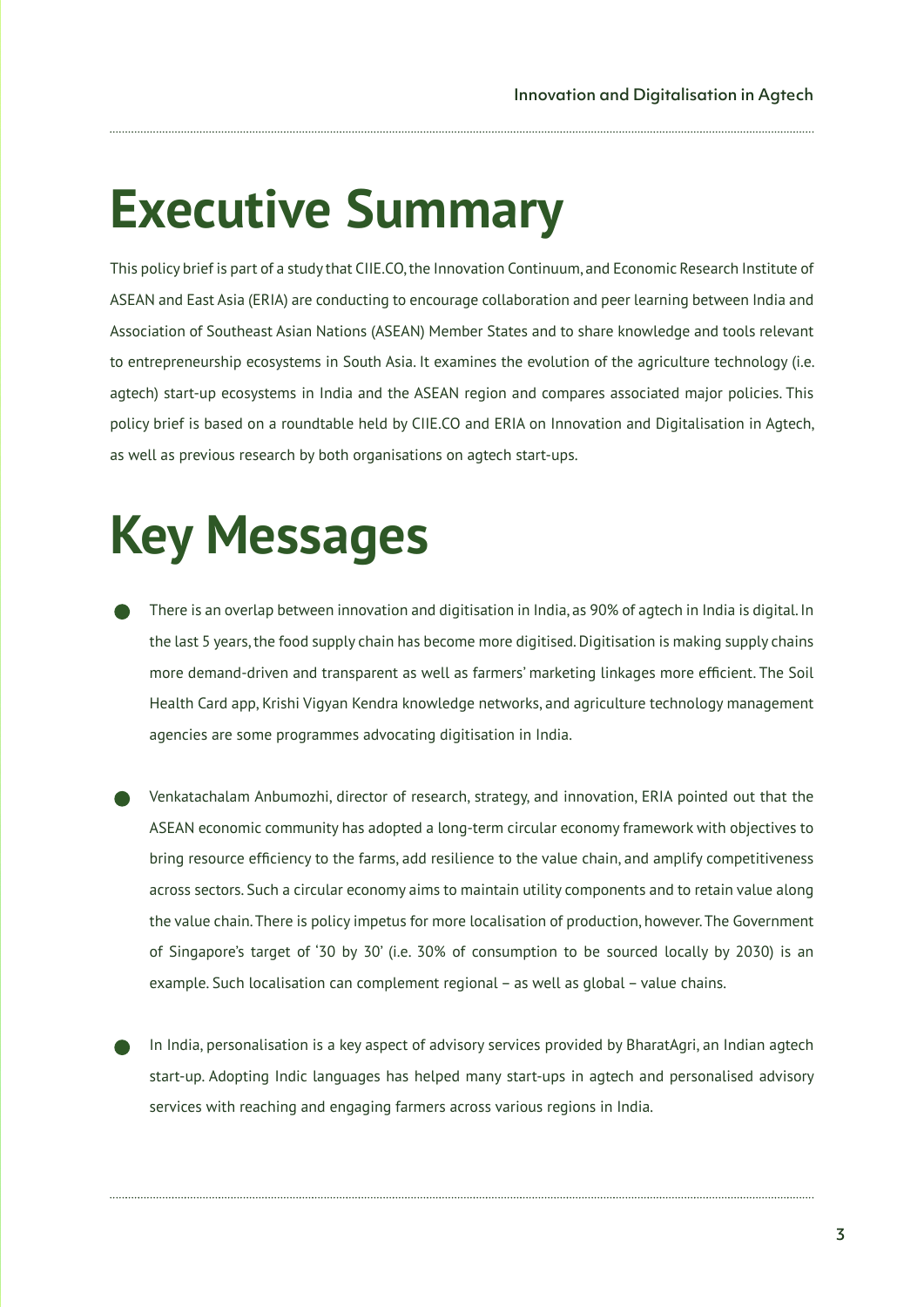# **Executive Summary**

This policy brief is part of a study that CIIE.CO, the Innovation Continuum, and Economic Research Institute of ASEAN and East Asia (ERIA) are conducting to encourage collaboration and peer learning between India and Association of Southeast Asian Nations (ASEAN) Member States and to share knowledge and tools relevant to entrepreneurship ecosystems in South Asia. It examines the evolution of the agriculture technology (i.e. agtech) start-up ecosystems in India and the ASEAN region and compares associated major policies. This policy brief is based on a roundtable held by CIIE.CO and ERIA on Innovation and Digitalisation in Agtech, as well as previous research by both organisations on agtech start-ups.

# **Key Messages**

- There is an overlap between innovation and digitisation in India, as 90% of agtech in India is digital. In the last 5 years, the food supply chain has become more digitised. Digitisation is making supply chains more demand-driven and transparent as well as farmers' marketing linkages more efficient. The Soil Health Card app, Krishi Vigyan Kendra knowledge networks, and agriculture technology management agencies are some programmes advocating digitisation in India.
- Venkatachalam Anbumozhi, director of research, strategy, and innovation, ERIA pointed out that the ASEAN economic community has adopted a long-term circular economy framework with objectives to bring resource efficiency to the farms, add resilience to the value chain, and amplify competitiveness across sectors. Such a circular economy aims to maintain utility components and to retain value along the value chain. There is policy impetus for more localisation of production, however. The Government of Singapore's target of '30 by 30' (i.e. 30% of consumption to be sourced locally by 2030) is an example. Such localisation can complement regional – as well as global – value chains.
- In India, personalisation is a key aspect of advisory services provided by BharatAgri, an Indian agtech start-up. Adopting Indic languages has helped many start-ups in agtech and personalised advisory services with reaching and engaging farmers across various regions in India.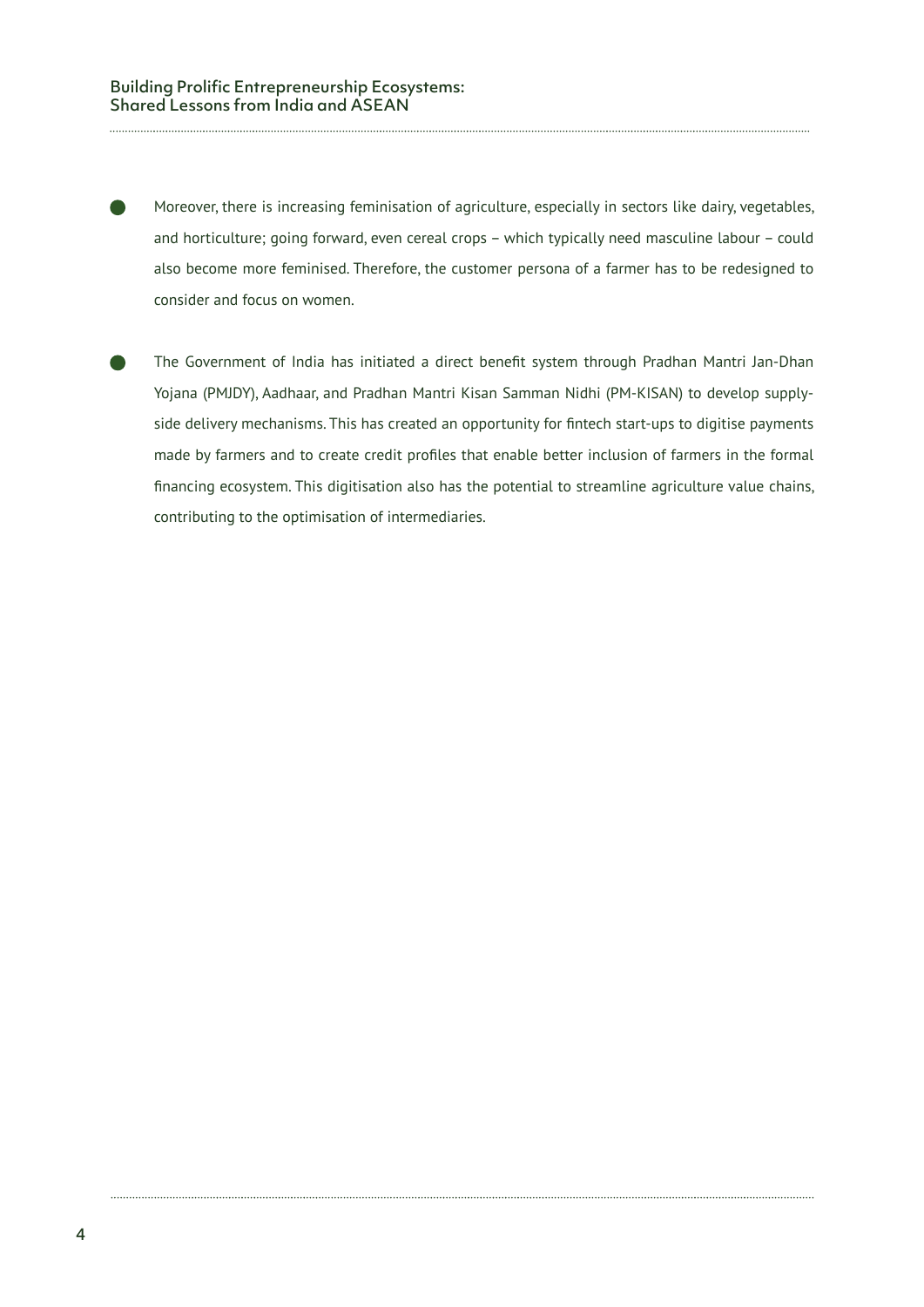Moreover, there is increasing feminisation of agriculture, especially in sectors like dairy, vegetables, and horticulture; going forward, even cereal crops – which typically need masculine labour – could also become more feminised. Therefore, the customer persona of a farmer has to be redesigned to consider and focus on women.

The Government of India has initiated a direct benefit system through Pradhan Mantri Jan-Dhan Yojana (PMJDY), Aadhaar, and Pradhan Mantri Kisan Samman Nidhi (PM-KISAN) to develop supplyside delivery mechanisms. This has created an opportunity for fintech start-ups to digitise payments made by farmers and to create credit profiles that enable better inclusion of farmers in the formal financing ecosystem. This digitisation also has the potential to streamline agriculture value chains, contributing to the optimisation of intermediaries.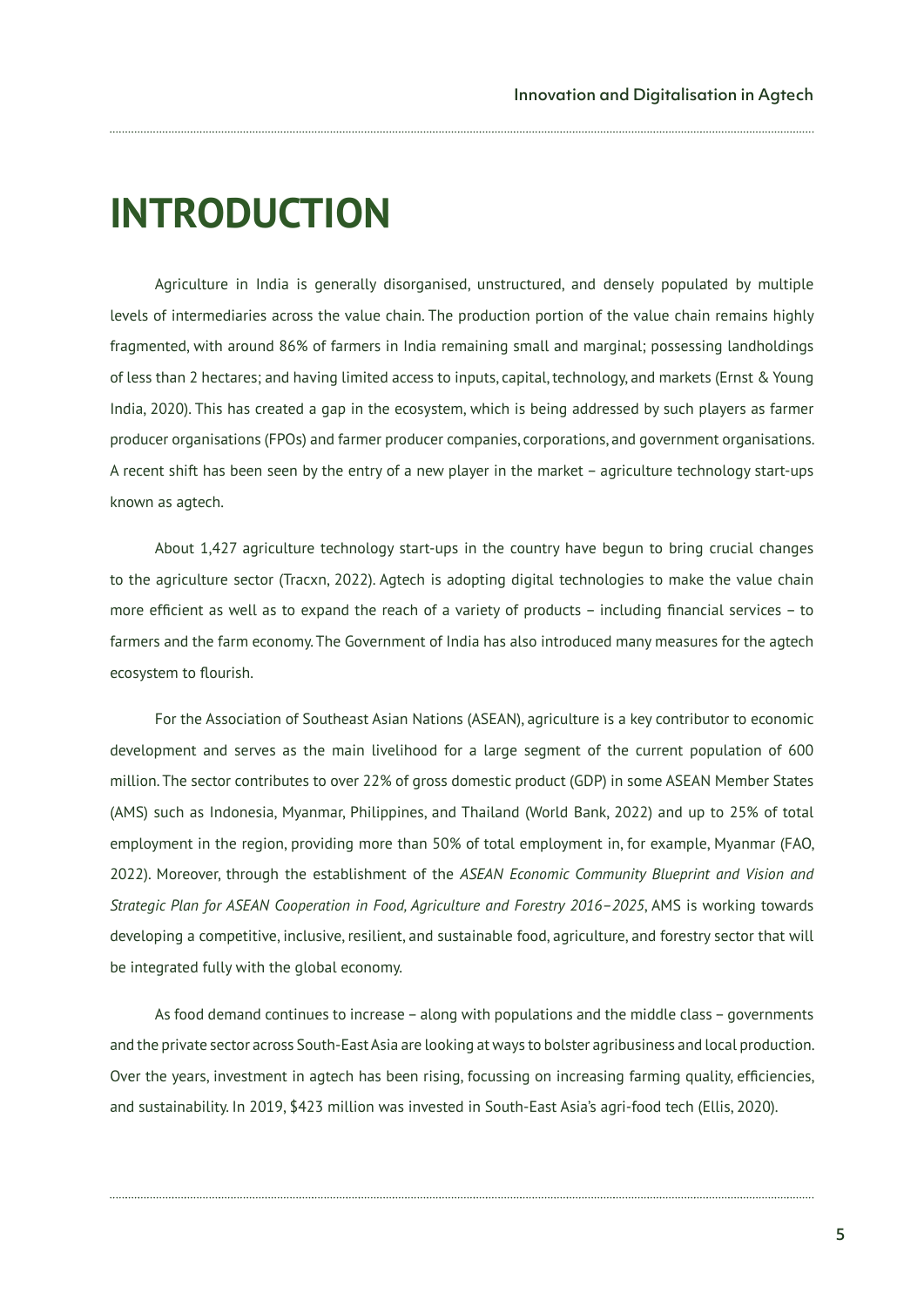## **INTRODUCTION**

Agriculture in India is generally disorganised, unstructured, and densely populated by multiple levels of intermediaries across the value chain. The production portion of the value chain remains highly fragmented, with around 86% of farmers in India remaining small and marginal; possessing landholdings of less than 2 hectares; and having limited access to inputs, capital, technology, and markets (Ernst & Young India, 2020). This has created a gap in the ecosystem, which is being addressed by such players as farmer producer organisations (FPOs) and farmer producer companies, corporations, and government organisations. A recent shift has been seen by the entry of a new player in the market – agriculture technology start-ups known as agtech.

About 1,427 agriculture technology start-ups in the country have begun to bring crucial changes to the agriculture sector (Tracxn, 2022). Agtech is adopting digital technologies to make the value chain more efficient as well as to expand the reach of a variety of products – including financial services – to farmers and the farm economy. The Government of India has also introduced many measures for the agtech ecosystem to flourish.

For the Association of Southeast Asian Nations (ASEAN), agriculture is a key contributor to economic development and serves as the main livelihood for a large segment of the current population of 600 million. The sector contributes to over 22% of gross domestic product (GDP) in some ASEAN Member States (AMS) such as Indonesia, Myanmar, Philippines, and Thailand (World Bank, 2022) and up to 25% of total employment in the region, providing more than 50% of total employment in, for example, Myanmar (FAO, 2022). Moreover, through the establishment of the *ASEAN Economic Community Blueprint and Vision and Strategic Plan for ASEAN Cooperation in Food, Agriculture and Forestry 2016–2025*, AMS is working towards developing a competitive, inclusive, resilient, and sustainable food, agriculture, and forestry sector that will be integrated fully with the global economy.

As food demand continues to increase – along with populations and the middle class – governments and the private sector across South-East Asia are looking at ways to bolster agribusiness and local production. Over the years, investment in agtech has been rising, focussing on increasing farming quality, efficiencies, and sustainability. In 2019, \$423 million was invested in South-East Asia's agri-food tech (Ellis, 2020).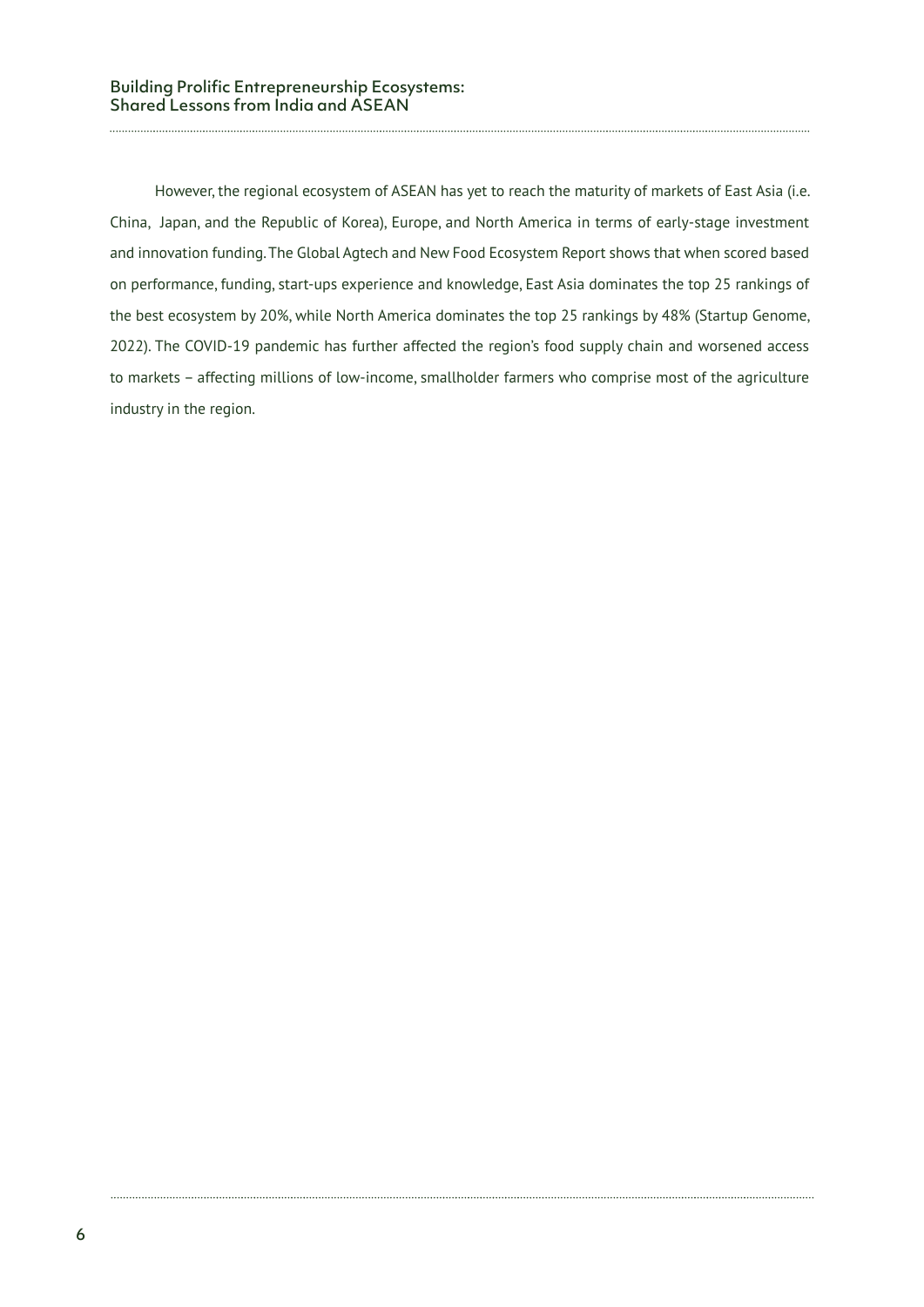However, the regional ecosystem of ASEAN has yet to reach the maturity of markets of East Asia (i.e. China, Japan, and the Republic of Korea), Europe, and North America in terms of early-stage investment and innovation funding. The Global Agtech and New Food Ecosystem Report shows that when scored based on performance, funding, start-ups experience and knowledge, East Asia dominates the top 25 rankings of the best ecosystem by 20%, while North America dominates the top 25 rankings by 48% (Startup Genome, 2022). The COVID-19 pandemic has further affected the region's food supply chain and worsened access to markets – affecting millions of low-income, smallholder farmers who comprise most of the agriculture industry in the region.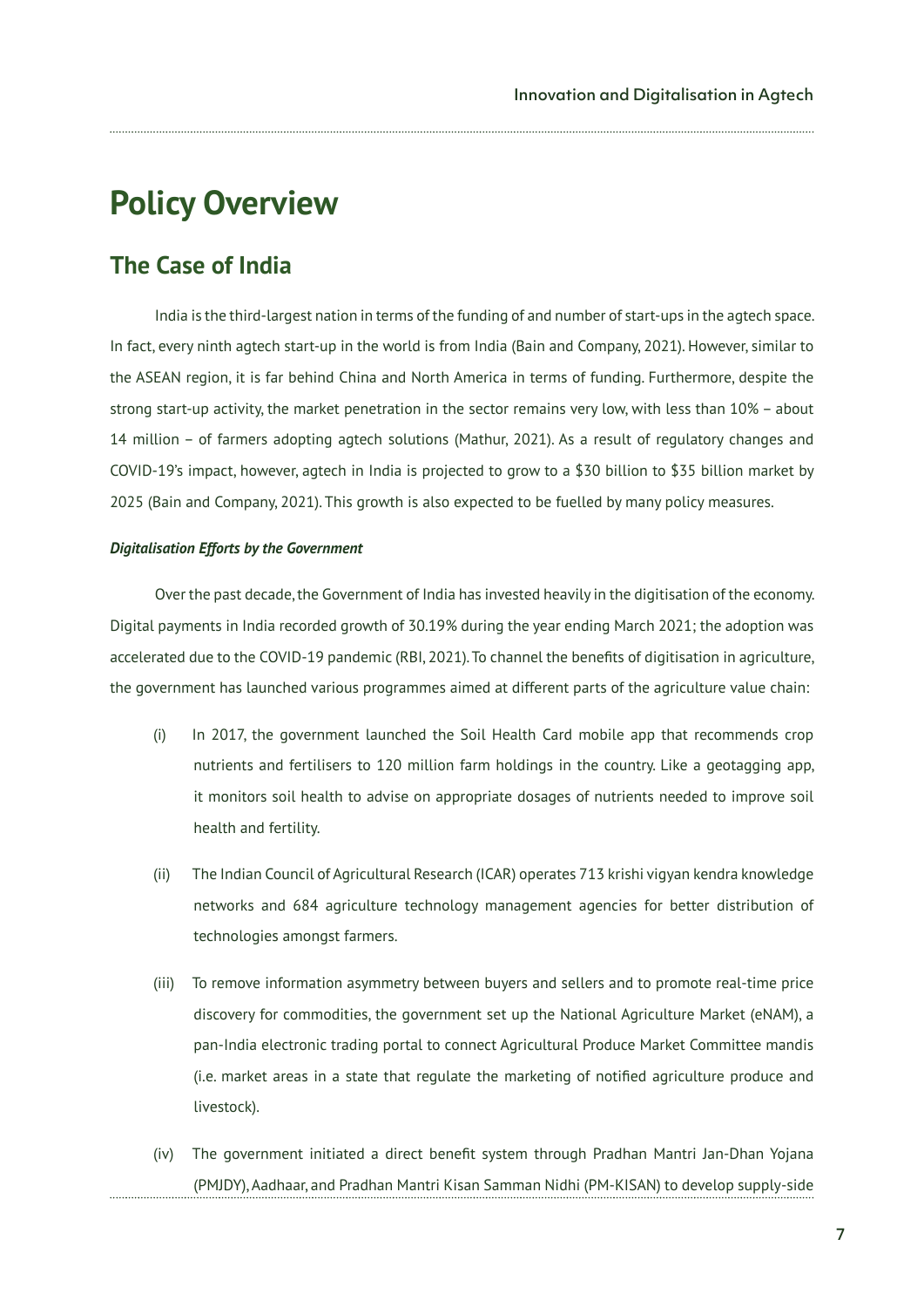### **Policy Overview**

#### **The Case of India**

India is the third-largest nation in terms of the funding of and number of start-ups in the agtech space. In fact, every ninth agtech start-up in the world is from India (Bain and Company, 2021). However, similar to the ASEAN region, it is far behind China and North America in terms of funding. Furthermore, despite the strong start-up activity, the market penetration in the sector remains very low, with less than 10% – about 14 million – of farmers adopting agtech solutions (Mathur, 2021). As a result of regulatory changes and COVID-19's impact, however, agtech in India is projected to grow to a \$30 billion to \$35 billion market by 2025 (Bain and Company, 2021). This growth is also expected to be fuelled by many policy measures.

#### *Digitalisation Efforts by the Government*

Over the past decade, the Government of India has invested heavily in the digitisation of the economy. Digital payments in India recorded growth of 30.19% during the year ending March 2021; the adoption was accelerated due to the COVID-19 pandemic (RBI, 2021). To channel the benefits of digitisation in agriculture, the government has launched various programmes aimed at different parts of the agriculture value chain:

- (i) In 2017, the government launched the Soil Health Card mobile app that recommends crop nutrients and fertilisers to 120 million farm holdings in the country. Like a geotagging app, it monitors soil health to advise on appropriate dosages of nutrients needed to improve soil health and fertility.
- (ii) The Indian Council of Agricultural Research (ICAR) operates 713 krishi vigyan kendra knowledge networks and 684 agriculture technology management agencies for better distribution of technologies amongst farmers.
- (iii) To remove information asymmetry between buyers and sellers and to promote real-time price discovery for commodities, the government set up the National Agriculture Market (eNAM), a pan-India electronic trading portal to connect Agricultural Produce Market Committee mandis (i.e. market areas in a state that regulate the marketing of notified agriculture produce and livestock).
- (iv) The government initiated a direct benefit system through Pradhan Mantri Jan-Dhan Yojana (PMJDY), Aadhaar, and Pradhan Mantri Kisan Samman Nidhi (PM-KISAN) to develop supply-side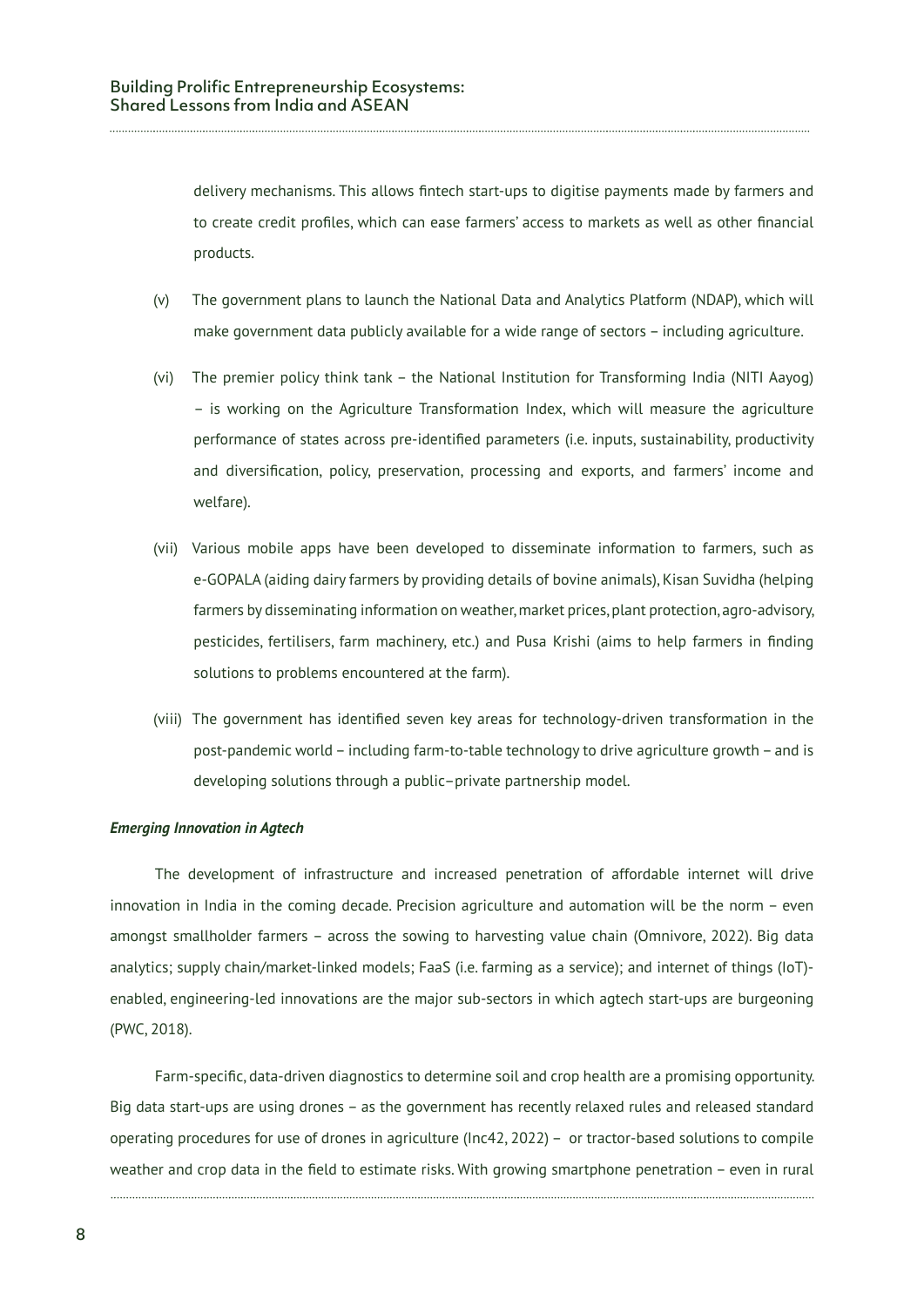delivery mechanisms. This allows fintech start-ups to digitise payments made by farmers and to create credit profiles, which can ease farmers' access to markets as well as other financial products.

- (v) The government plans to launch the National Data and Analytics Platform (NDAP), which will make government data publicly available for a wide range of sectors – including agriculture.
- (vi) The premier policy think tank the National Institution for Transforming India (NITI Aayog) – is working on the Agriculture Transformation Index, which will measure the agriculture performance of states across pre-identified parameters (i.e. inputs, sustainability, productivity and diversification, policy, preservation, processing and exports, and farmers' income and welfare).
- (vii) Various mobile apps have been developed to disseminate information to farmers, such as e-GOPALA (aiding dairy farmers by providing details of bovine animals), Kisan Suvidha (helping farmers by disseminating information on weather, market prices, plant protection, agro-advisory, pesticides, fertilisers, farm machinery, etc.) and Pusa Krishi (aims to help farmers in finding solutions to problems encountered at the farm).
- (viii) The government has identified seven key areas for technology-driven transformation in the post-pandemic world – including farm-to-table technology to drive agriculture growth – and is developing solutions through a public–private partnership model.

#### *Emerging Innovation in Agtech*

The development of infrastructure and increased penetration of affordable internet will drive innovation in India in the coming decade. Precision agriculture and automation will be the norm – even amongst smallholder farmers – across the sowing to harvesting value chain (Omnivore, 2022). Big data analytics; supply chain/market-linked models; FaaS (i.e. farming as a service); and internet of things (IoT) enabled, engineering-led innovations are the major sub-sectors in which agtech start-ups are burgeoning (PWC, 2018).

Farm-specific, data-driven diagnostics to determine soil and crop health are a promising opportunity. Big data start-ups are using drones – as the government has recently relaxed rules and released standard operating procedures for use of drones in agriculture (Inc42, 2022) – or tractor-based solutions to compile weather and crop data in the field to estimate risks. With growing smartphone penetration – even in rural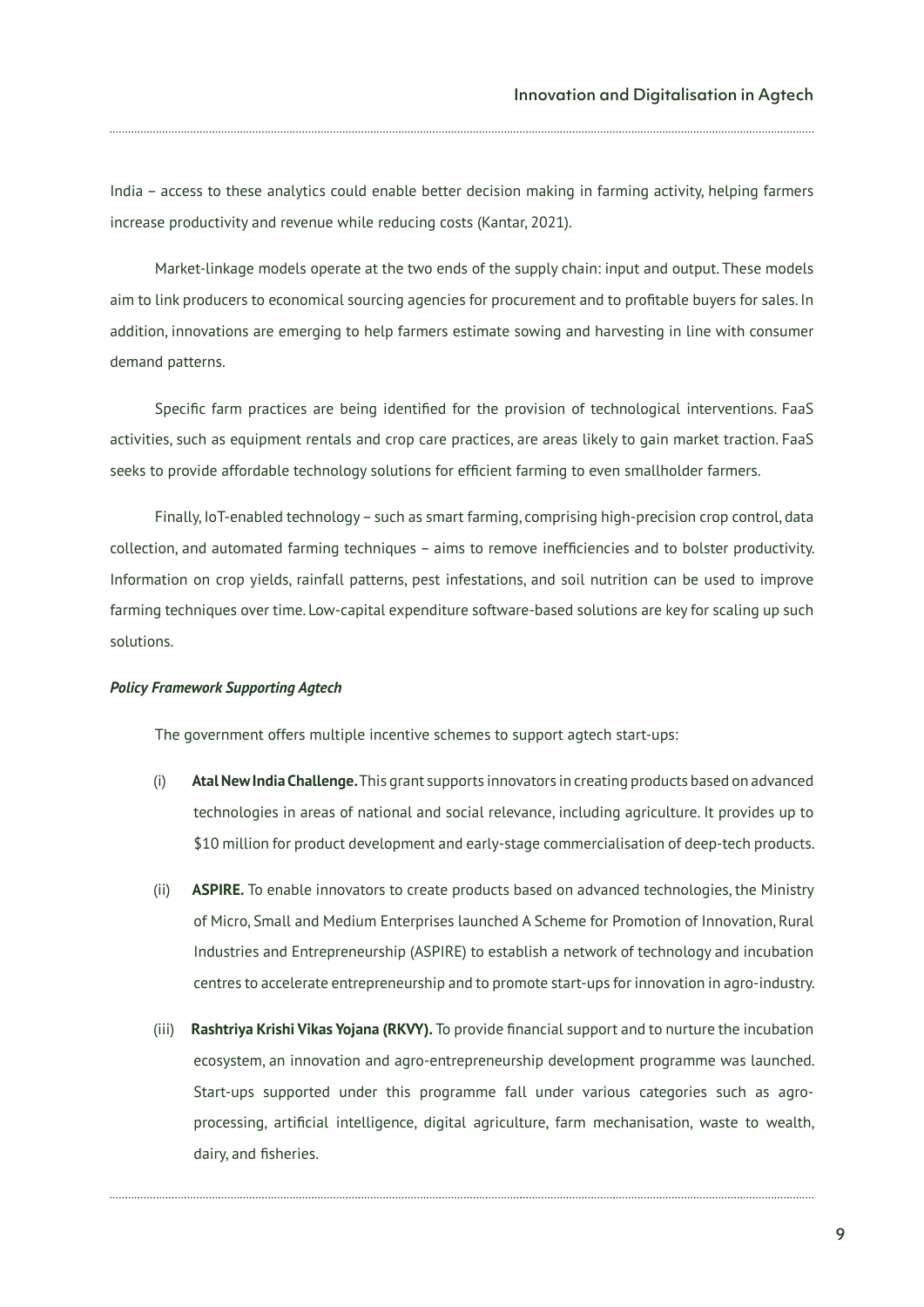India – access to these analytics could enable better decision making in farming activity, helping farmers increase productivity and revenue while reducing costs (Kantar, 2021).

Market-linkage models operate at the two ends of the supply chain: input and output. These models aim to link producers to economical sourcing agencies for procurement and to profitable buyers for sales. In addition, innovations are emerging to help farmers estimate sowing and harvesting in line with consumer demand patterns.

Specific farm practices are being identified for the provision of technological interventions. FaaS activities, such as equipment rentals and crop care practices, are areas likely to gain market traction. FaaS seeks to provide affordable technology solutions for efficient farming to even smallholder farmers.

Finally, IoT-enabled technology – such as smart farming, comprising high-precision crop control, data collection, and automated farming techniques – aims to remove inefficiencies and to bolster productivity. Information on crop yields, rainfall patterns, pest infestations, and soil nutrition can be used to improve farming techniques over time. Low-capital expenditure software-based solutions are key for scaling up such solutions.

#### *Policy Framework Supporting Agtech*

The government offers multiple incentive schemes to support agtech start-ups:

- (i) **Atal New India Challenge.** This grant supports innovators in creating products based on advanced technologies in areas of national and social relevance, including agriculture. It provides up to \$10 million for product development and early-stage commercialisation of deep-tech products.
- (ii) **ASPIRE.** To enable innovators to create products based on advanced technologies, the Ministry of Micro, Small and Medium Enterprises launched A Scheme for Promotion of Innovation, Rural Industries and Entrepreneurship (ASPIRE) to establish a network of technology and incubation centres to accelerate entrepreneurship and to promote start-ups for innovation in agro-industry.
- (iii) **Rashtriya Krishi Vikas Yojana (RKVY).** To provide financial support and to nurture the incubation ecosystem, an innovation and agro-entrepreneurship development programme was launched. Start-ups supported under this programme fall under various categories such as agroprocessing, artificial intelligence, digital agriculture, farm mechanisation, waste to wealth, dairy, and fisheries.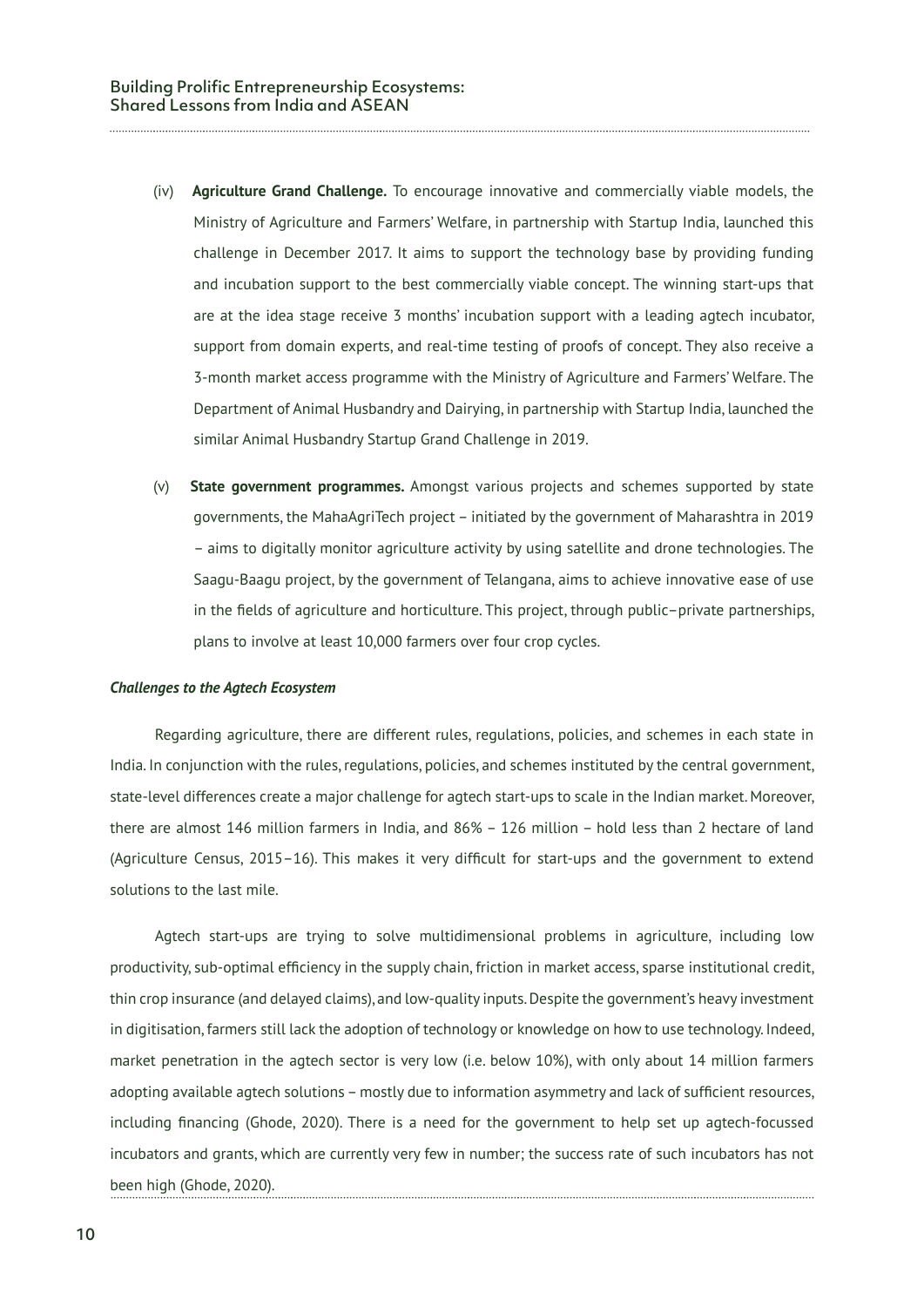- (iv) **Agriculture Grand Challenge.** To encourage innovative and commercially viable models, the Ministry of Agriculture and Farmers' Welfare, in partnership with Startup India, launched this challenge in December 2017. It aims to support the technology base by providing funding and incubation support to the best commercially viable concept. The winning start-ups that are at the idea stage receive 3 months' incubation support with a leading agtech incubator, support from domain experts, and real-time testing of proofs of concept. They also receive a 3-month market access programme with the Ministry of Agriculture and Farmers' Welfare. The Department of Animal Husbandry and Dairying, in partnership with Startup India, launched the similar Animal Husbandry Startup Grand Challenge in 2019.
- (v) **State government programmes.** Amongst various projects and schemes supported by state governments, the MahaAgriTech project – initiated by the government of Maharashtra in 2019 – aims to digitally monitor agriculture activity by using satellite and drone technologies. The Saagu-Baagu project, by the government of Telangana, aims to achieve innovative ease of use in the fields of agriculture and horticulture. This project, through public–private partnerships, plans to involve at least 10,000 farmers over four crop cycles.

#### *Challenges to the Agtech Ecosystem*

Regarding agriculture, there are different rules, regulations, policies, and schemes in each state in India. In conjunction with the rules, regulations, policies, and schemes instituted by the central government, state-level differences create a major challenge for agtech start-ups to scale in the Indian market. Moreover, there are almost 146 million farmers in India, and 86% – 126 million – hold less than 2 hectare of land (Agriculture Census, 2015–16). This makes it very difficult for start-ups and the government to extend solutions to the last mile.

Agtech start-ups are trying to solve multidimensional problems in agriculture, including low productivity, sub-optimal efficiency in the supply chain, friction in market access, sparse institutional credit, thin crop insurance (and delayed claims), and low-quality inputs. Despite the government's heavy investment in digitisation, farmers still lack the adoption of technology or knowledge on how to use technology. Indeed, market penetration in the agtech sector is very low (i.e. below 10%), with only about 14 million farmers adopting available agtech solutions – mostly due to information asymmetry and lack of sufficient resources, including financing (Ghode, 2020). There is a need for the government to help set up agtech-focussed incubators and grants, which are currently very few in number; the success rate of such incubators has not been high (Ghode, 2020).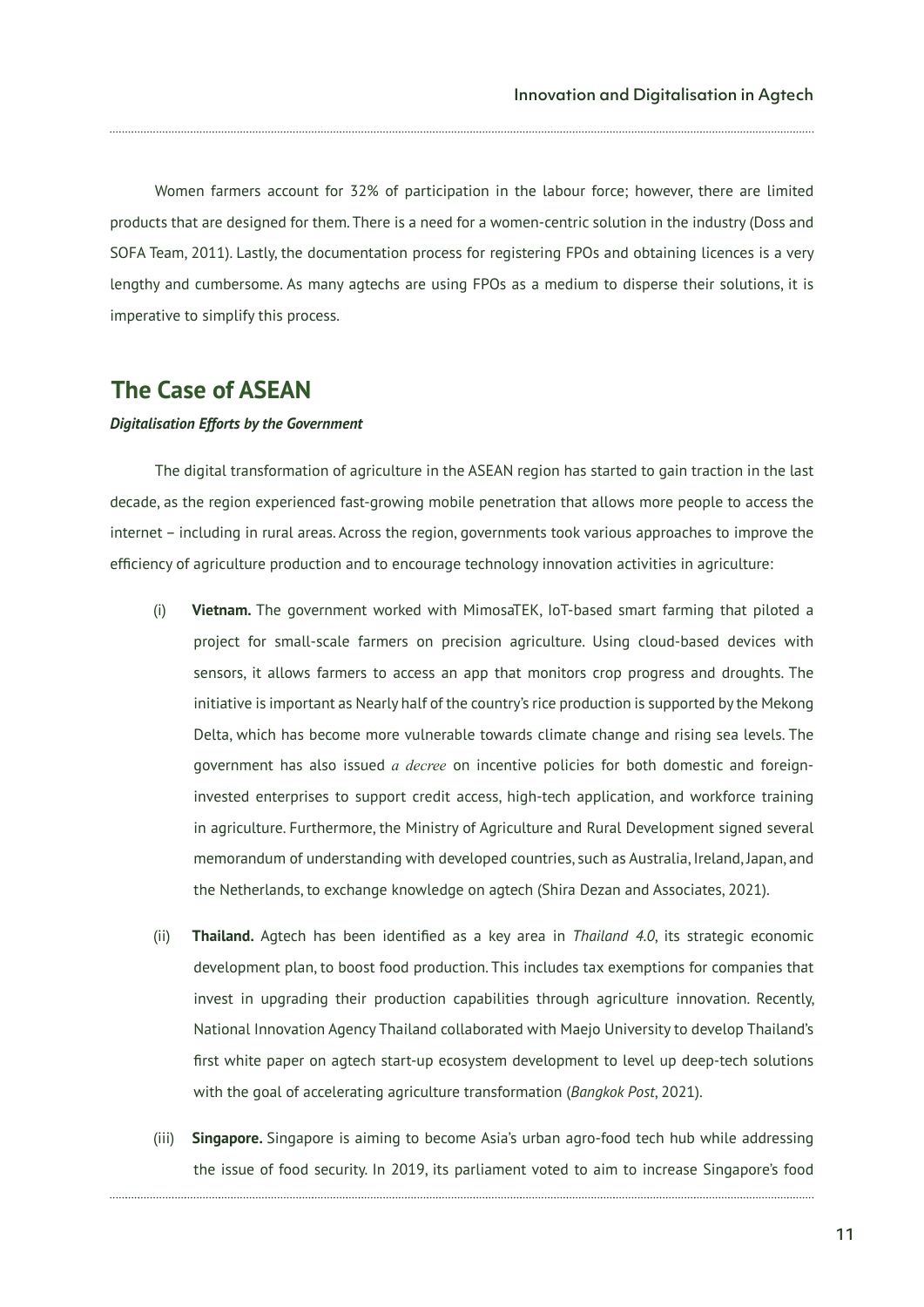Women farmers account for 32% of participation in the labour force; however, there are limited products that are designed for them. There is a need for a women-centric solution in the industry (Doss and SOFA Team, 2011). Lastly, the documentation process for registering FPOs and obtaining licences is a very lengthy and cumbersome. As many agtechs are using FPOs as a medium to disperse their solutions, it is imperative to simplify this process.

#### **The Case of ASEAN**

#### *Digitalisation Efforts by the Government*

The digital transformation of agriculture in the ASEAN region has started to gain traction in the last decade, as the region experienced fast-growing mobile penetration that allows more people to access the internet – including in rural areas. Across the region, governments took various approaches to improve the efficiency of agriculture production and to encourage technology innovation activities in agriculture:

- (i) **Vietnam.** The government worked with MimosaTEK, IoT-based smart farming that piloted a project for small-scale farmers on precision agriculture. Using cloud-based devices with sensors, it allows farmers to access an app that monitors crop progress and droughts. The initiative is important as Nearly half of the country's rice production is supported by the Mekong Delta, which has become more vulnerable towards climate change and rising sea levels. The government has also issued *a decree* on incentive policies for both domestic and foreigninvested enterprises to support credit access, high-tech application, and workforce training in agriculture. Furthermore, the Ministry of Agriculture and Rural Development signed several memorandum of understanding with developed countries, such as Australia, Ireland, Japan, and the Netherlands, to exchange knowledge on agtech (Shira Dezan and Associates, 2021).
- (ii) **Thailand.** Agtech has been identified as a key area in *Thailand 4.0*, its strategic economic development plan, to boost food production. This includes tax exemptions for companies that invest in upgrading their production capabilities through agriculture innovation. Recently, National Innovation Agency Thailand collaborated with Maejo University to develop Thailand's first white paper on agtech start-up ecosystem development to level up deep-tech solutions with the goal of accelerating agriculture transformation (*Bangkok Post*, 2021).
- (iii) **Singapore.** Singapore is aiming to become Asia's urban agro-food tech hub while addressing the issue of food security. In 2019, its parliament voted to aim to increase Singapore's food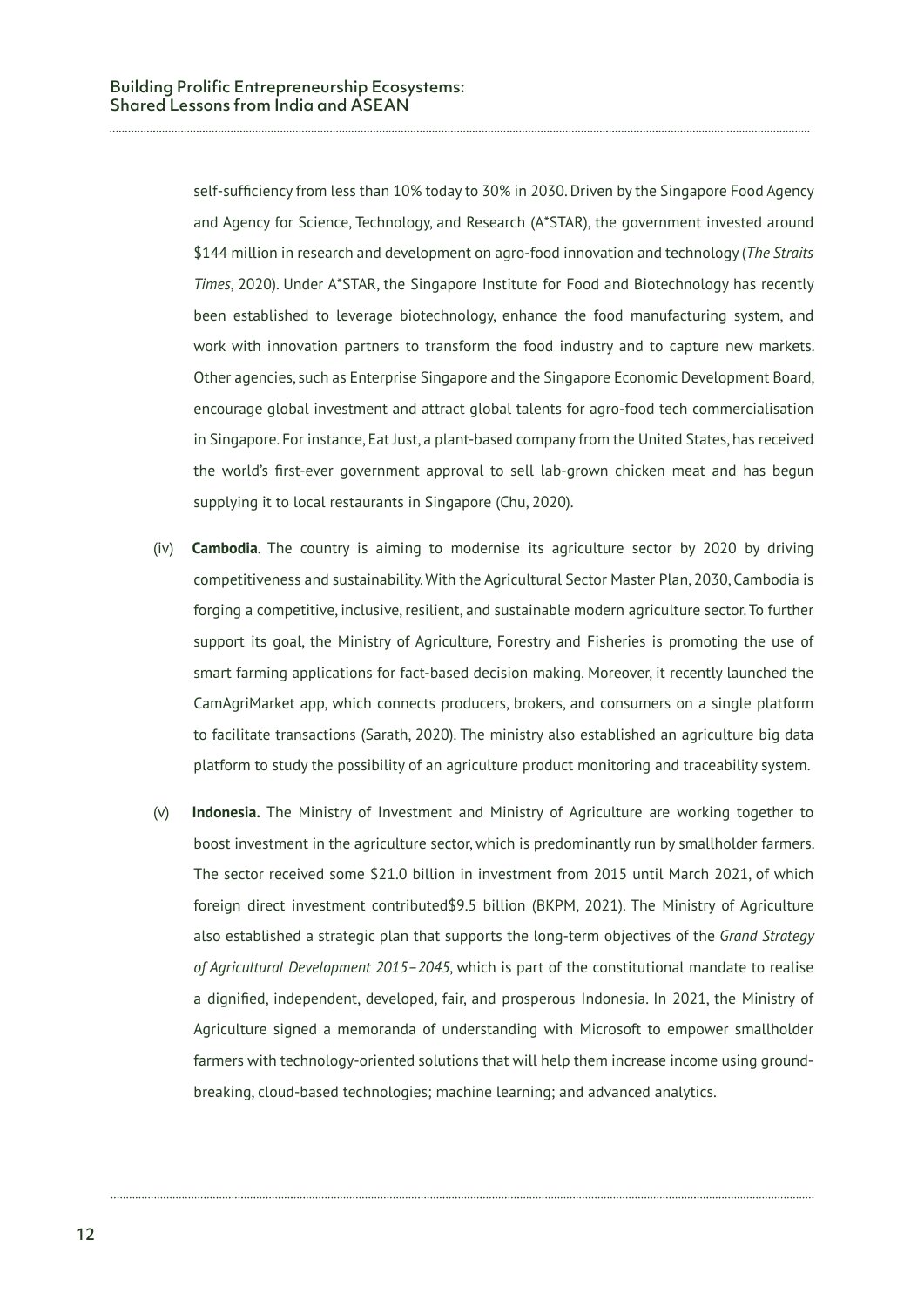self-sufficiency from less than 10% today to 30% in 2030. Driven by the Singapore Food Agency and Agency for Science, Technology, and Research (A\*STAR), the government invested around \$144 million in research and development on agro-food innovation and technology (*The Straits Times*, 2020). Under A\*STAR, the Singapore Institute for Food and Biotechnology has recently been established to leverage biotechnology, enhance the food manufacturing system, and work with innovation partners to transform the food industry and to capture new markets. Other agencies, such as Enterprise Singapore and the Singapore Economic Development Board, encourage global investment and attract global talents for agro-food tech commercialisation in Singapore. For instance, Eat Just, a plant-based company from the United States, has received the world's first-ever government approval to sell lab-grown chicken meat and has begun supplying it to local restaurants in Singapore (Chu, 2020).

- (iv) **Cambodia**. The country is aiming to modernise its agriculture sector by 2020 by driving competitiveness and sustainability. With the Agricultural Sector Master Plan, 2030, Cambodia is forging a competitive, inclusive, resilient, and sustainable modern agriculture sector. To further support its goal, the Ministry of Agriculture, Forestry and Fisheries is promoting the use of smart farming applications for fact-based decision making. Moreover, it recently launched the CamAgriMarket app, which connects producers, brokers, and consumers on a single platform to facilitate transactions (Sarath, 2020). The ministry also established an agriculture big data platform to study the possibility of an agriculture product monitoring and traceability system.
- (v) **Indonesia.** The Ministry of Investment and Ministry of Agriculture are working together to boost investment in the agriculture sector, which is predominantly run by smallholder farmers. The sector received some \$21.0 billion in investment from 2015 until March 2021, of which foreign direct investment contributed\$9.5 billion (BKPM, 2021). The Ministry of Agriculture also established a strategic plan that supports the long-term objectives of the *Grand Strategy of Agricultural Development 2015–2045*, which is part of the constitutional mandate to realise a dignified, independent, developed, fair, and prosperous Indonesia. In 2021, the Ministry of Agriculture signed a memoranda of understanding with Microsoft to empower smallholder farmers with technology-oriented solutions that will help them increase income using groundbreaking, cloud-based technologies; machine learning; and advanced analytics.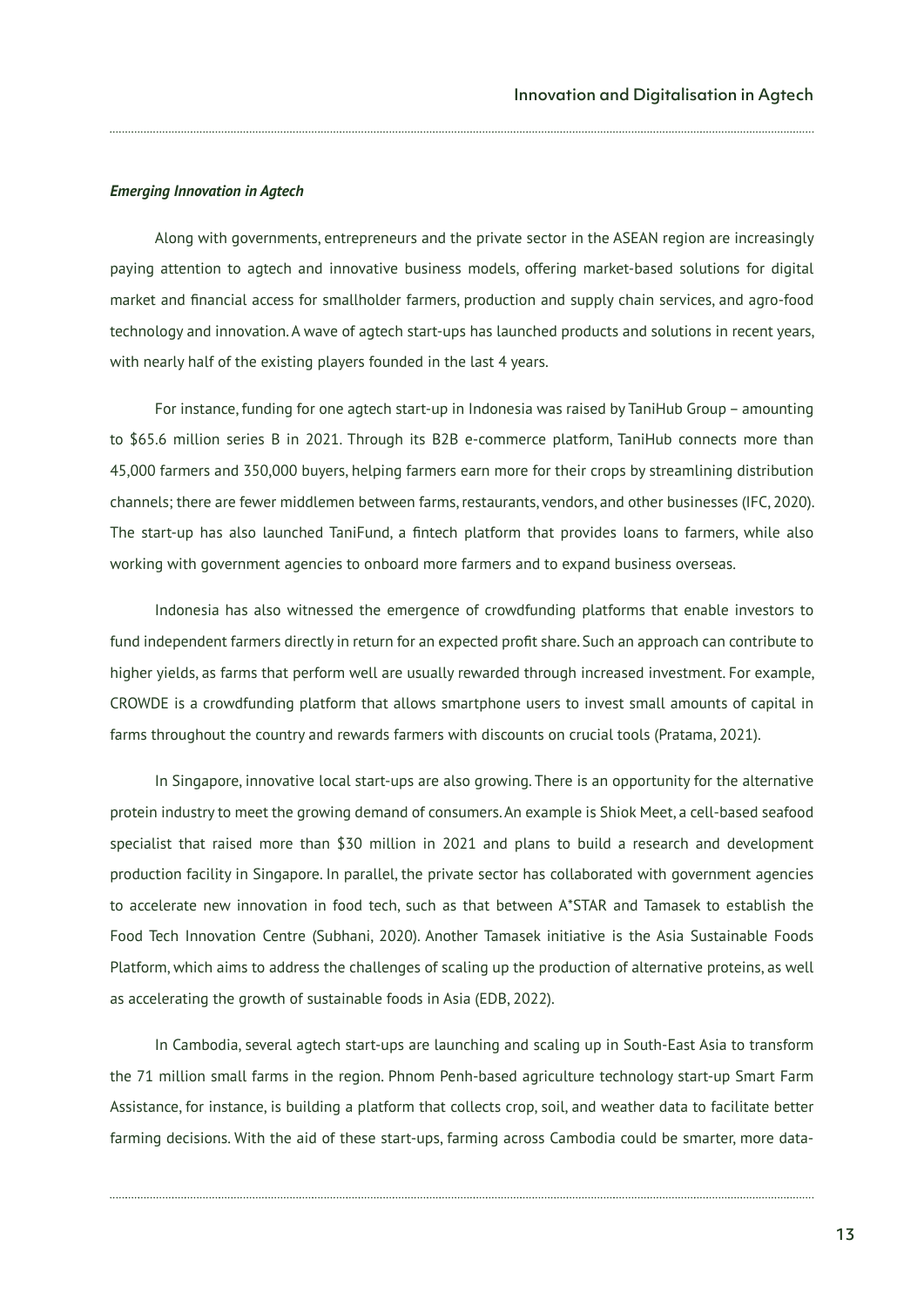#### *Emerging Innovation in Agtech*

Along with governments, entrepreneurs and the private sector in the ASEAN region are increasingly paying attention to agtech and innovative business models, offering market-based solutions for digital market and financial access for smallholder farmers, production and supply chain services, and agro-food technology and innovation. A wave of agtech start-ups has launched products and solutions in recent years, with nearly half of the existing players founded in the last 4 years.

For instance, funding for one agtech start-up in Indonesia was raised by TaniHub Group – amounting to \$65.6 million series B in 2021. Through its B2B e-commerce platform, TaniHub connects more than 45,000 farmers and 350,000 buyers, helping farmers earn more for their crops by streamlining distribution channels; there are fewer middlemen between farms, restaurants, vendors, and other businesses (IFC, 2020). The start-up has also launched TaniFund, a fintech platform that provides loans to farmers, while also working with government agencies to onboard more farmers and to expand business overseas.

Indonesia has also witnessed the emergence of crowdfunding platforms that enable investors to fund independent farmers directly in return for an expected profit share. Such an approach can contribute to higher yields, as farms that perform well are usually rewarded through increased investment. For example, CROWDE is a crowdfunding platform that allows smartphone users to invest small amounts of capital in farms throughout the country and rewards farmers with discounts on crucial tools (Pratama, 2021).

In Singapore, innovative local start-ups are also growing. There is an opportunity for the alternative protein industry to meet the growing demand of consumers. An example is Shiok Meet, a cell-based seafood specialist that raised more than \$30 million in 2021 and plans to build a research and development production facility in Singapore. In parallel, the private sector has collaborated with government agencies to accelerate new innovation in food tech, such as that between A\*STAR and Tamasek to establish the Food Tech Innovation Centre (Subhani, 2020). Another Tamasek initiative is the Asia Sustainable Foods Platform, which aims to address the challenges of scaling up the production of alternative proteins, as well as accelerating the growth of sustainable foods in Asia (EDB, 2022).

In Cambodia, several agtech start-ups are launching and scaling up in South-East Asia to transform the 71 million small farms in the region. Phnom Penh-based agriculture technology start-up Smart Farm Assistance, for instance, is building a platform that collects crop, soil, and weather data to facilitate better farming decisions. With the aid of these start-ups, farming across Cambodia could be smarter, more data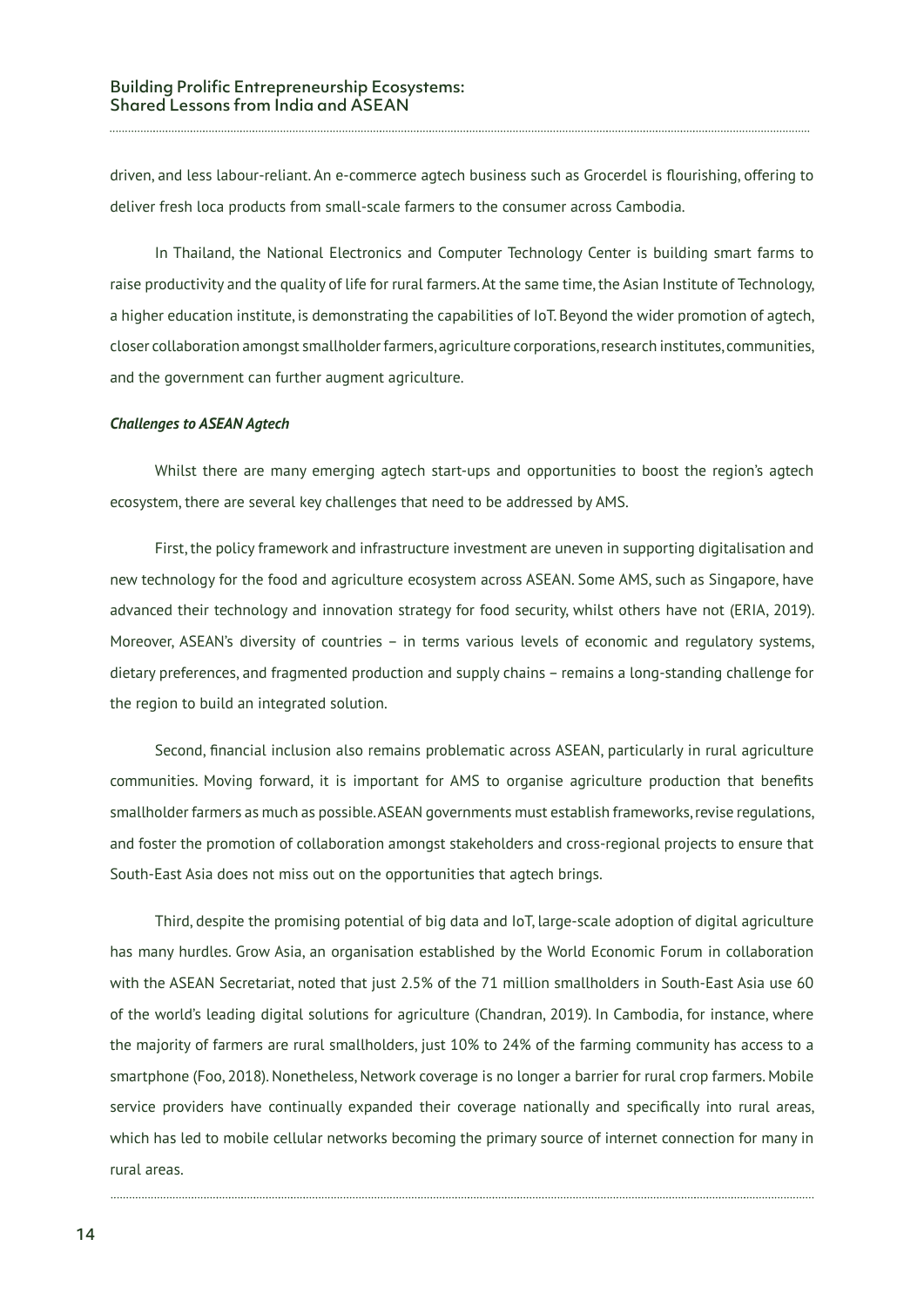driven, and less labour-reliant. An e-commerce agtech business such as Grocerdel is flourishing, offering to deliver fresh loca products from small-scale farmers to the consumer across Cambodia.

In Thailand, the National Electronics and Computer Technology Center is building smart farms to raise productivity and the quality of life for rural farmers. At the same time, the Asian Institute of Technology, a higher education institute, is demonstrating the capabilities of IoT. Beyond the wider promotion of agtech, closer collaboration amongst smallholder farmers, agriculture corporations, research institutes, communities, and the government can further augment agriculture.

#### *Challenges to ASEAN Agtech*

Whilst there are many emerging agtech start-ups and opportunities to boost the region's agtech ecosystem, there are several key challenges that need to be addressed by AMS.

First, the policy framework and infrastructure investment are uneven in supporting digitalisation and new technology for the food and agriculture ecosystem across ASEAN. Some AMS, such as Singapore, have advanced their technology and innovation strategy for food security, whilst others have not (ERIA, 2019). Moreover, ASEAN's diversity of countries – in terms various levels of economic and regulatory systems, dietary preferences, and fragmented production and supply chains – remains a long-standing challenge for the region to build an integrated solution.

Second, financial inclusion also remains problematic across ASEAN, particularly in rural agriculture communities. Moving forward, it is important for AMS to organise agriculture production that benefits smallholder farmers as much as possible. ASEAN governments must establish frameworks, revise regulations, and foster the promotion of collaboration amongst stakeholders and cross-regional projects to ensure that South-East Asia does not miss out on the opportunities that agtech brings.

Third, despite the promising potential of big data and IoT, large-scale adoption of digital agriculture has many hurdles. Grow Asia, an organisation established by the World Economic Forum in collaboration with the ASEAN Secretariat, noted that just 2.5% of the 71 million smallholders in South-East Asia use 60 of the world's leading digital solutions for agriculture (Chandran, 2019). In Cambodia, for instance, where the majority of farmers are rural smallholders, just 10% to 24% of the farming community has access to a smartphone (Foo, 2018). Nonetheless, Network coverage is no longer a barrier for rural crop farmers. Mobile service providers have continually expanded their coverage nationally and specifically into rural areas, which has led to mobile cellular networks becoming the primary source of internet connection for many in rural areas.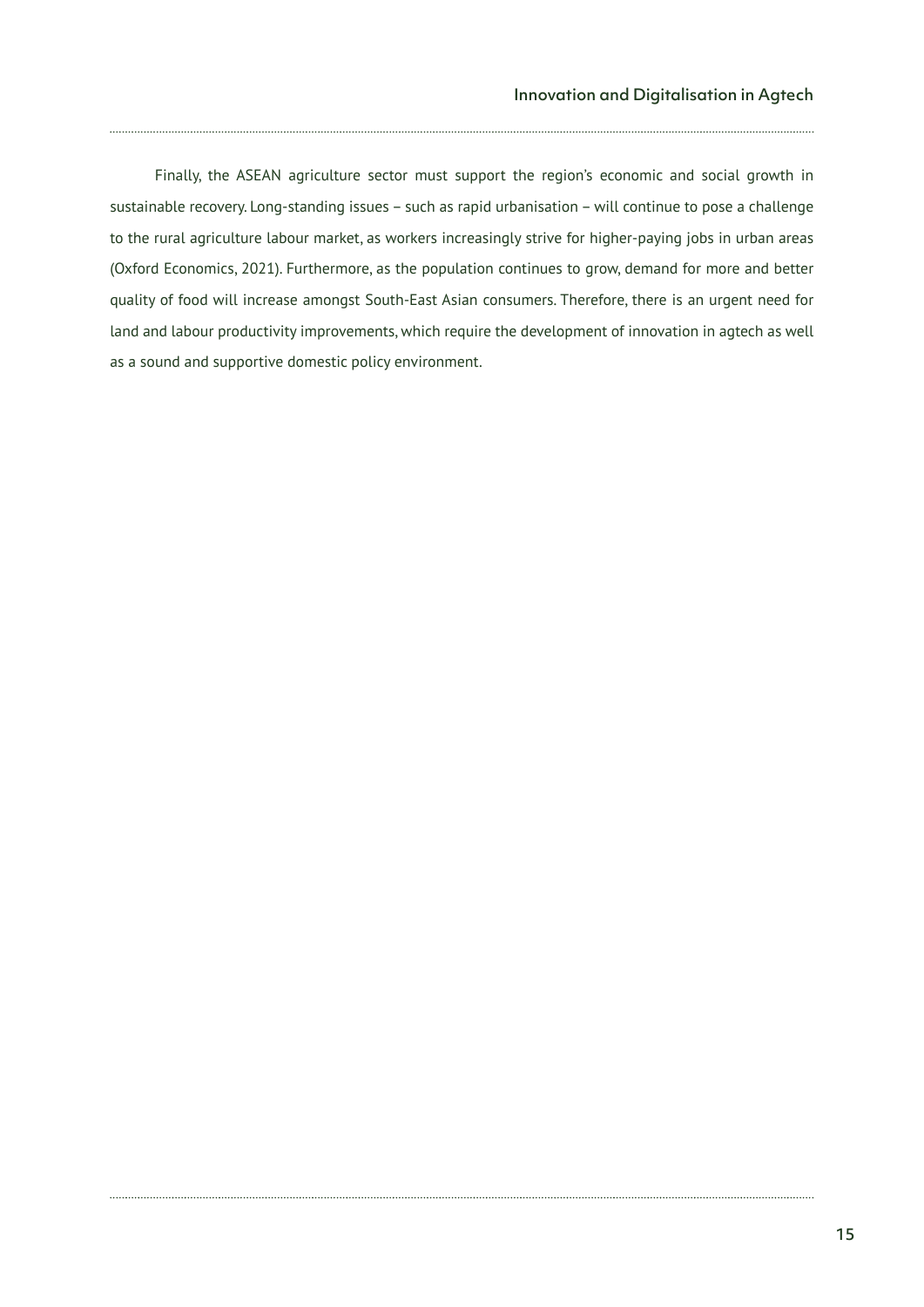Finally, the ASEAN agriculture sector must support the region's economic and social growth in sustainable recovery. Long-standing issues – such as rapid urbanisation – will continue to pose a challenge to the rural agriculture labour market, as workers increasingly strive for higher-paying jobs in urban areas (Oxford Economics, 2021). Furthermore, as the population continues to grow, demand for more and better quality of food will increase amongst South-East Asian consumers. Therefore, there is an urgent need for land and labour productivity improvements, which require the development of innovation in agtech as well as a sound and supportive domestic policy environment.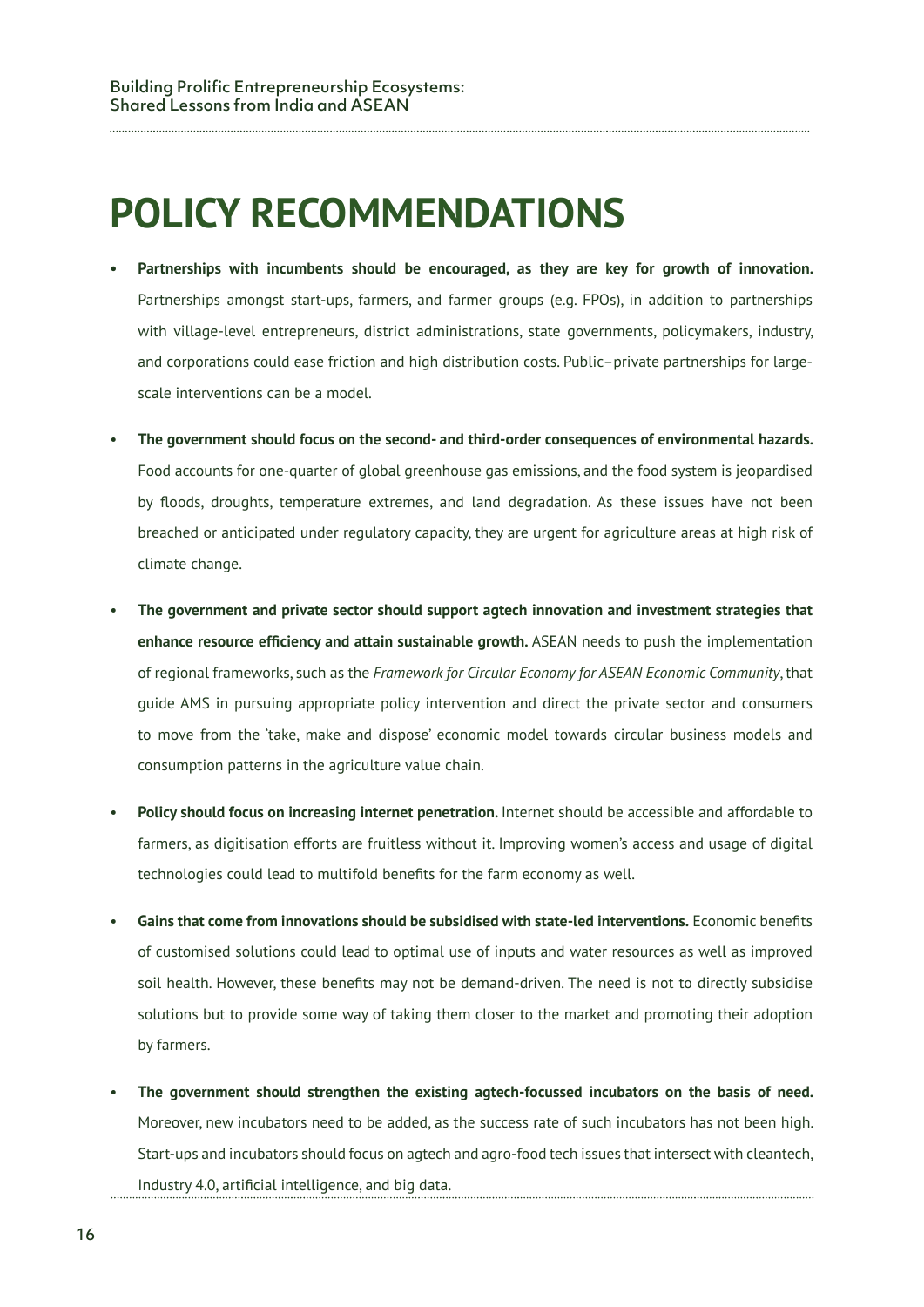## **POLICY RECOMMENDATIONS**

- **• Partnerships with incumbents should be encouraged, as they are key for growth of innovation.**  Partnerships amongst start-ups, farmers, and farmer groups (e.g. FPOs), in addition to partnerships with village-level entrepreneurs, district administrations, state governments, policymakers, industry, and corporations could ease friction and high distribution costs. Public–private partnerships for largescale interventions can be a model.
- **The government should focus on the second- and third-order consequences of environmental hazards.**  Food accounts for one-quarter of global greenhouse gas emissions, and the food system is jeopardised by floods, droughts, temperature extremes, and land degradation. As these issues have not been breached or anticipated under regulatory capacity, they are urgent for agriculture areas at high risk of climate change.
- **The government and private sector should support agtech innovation and investment strategies that enhance resource efficiency and attain sustainable growth.** ASEAN needs to push the implementation of regional frameworks, such as the *Framework for Circular Economy for ASEAN Economic Community*, that guide AMS in pursuing appropriate policy intervention and direct the private sector and consumers to move from the 'take, make and dispose' economic model towards circular business models and consumption patterns in the agriculture value chain.
- **Policy should focus on increasing internet penetration.** Internet should be accessible and affordable to farmers, as digitisation efforts are fruitless without it. Improving women's access and usage of digital technologies could lead to multifold benefits for the farm economy as well.
- **Gains that come from innovations should be subsidised with state-led interventions.** Economic benefits of customised solutions could lead to optimal use of inputs and water resources as well as improved soil health. However, these benefits may not be demand-driven. The need is not to directly subsidise solutions but to provide some way of taking them closer to the market and promoting their adoption by farmers.
- **The government should strengthen the existing agtech-focussed incubators on the basis of need.**  Moreover, new incubators need to be added, as the success rate of such incubators has not been high. Start-ups and incubators should focus on agtech and agro-food tech issues that intersect with cleantech, Industry 4.0, artificial intelligence, and big data.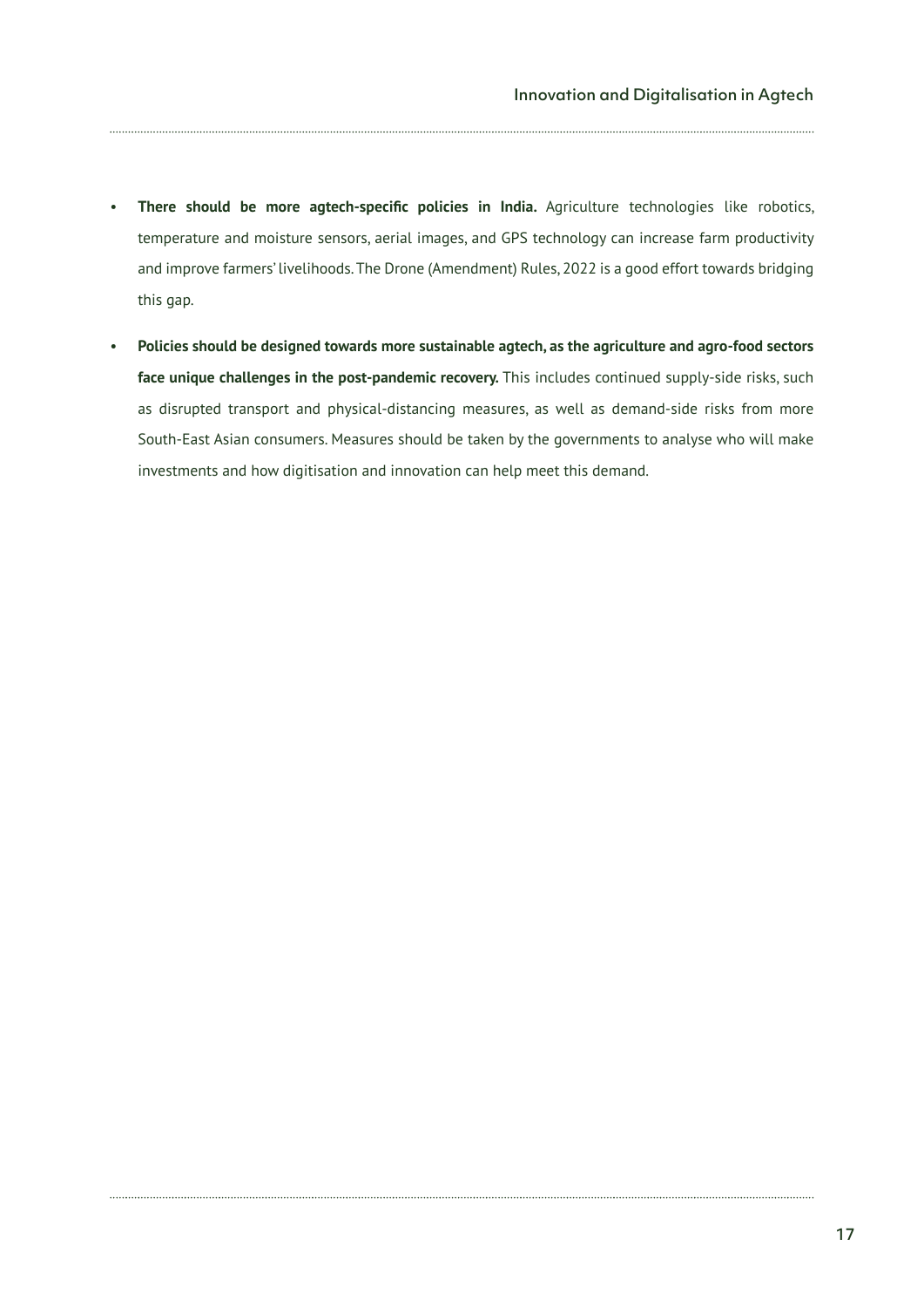- **There should be more agtech-specific policies in India.** Agriculture technologies like robotics, temperature and moisture sensors, aerial images, and GPS technology can increase farm productivity and improve farmers' livelihoods. The Drone (Amendment) Rules, 2022 is a good effort towards bridging this gap.
- **Policies should be designed towards more sustainable agtech, as the agriculture and agro-food sectors face unique challenges in the post-pandemic recovery.** This includes continued supply-side risks, such as disrupted transport and physical-distancing measures, as well as demand-side risks from more South-East Asian consumers. Measures should be taken by the governments to analyse who will make investments and how digitisation and innovation can help meet this demand.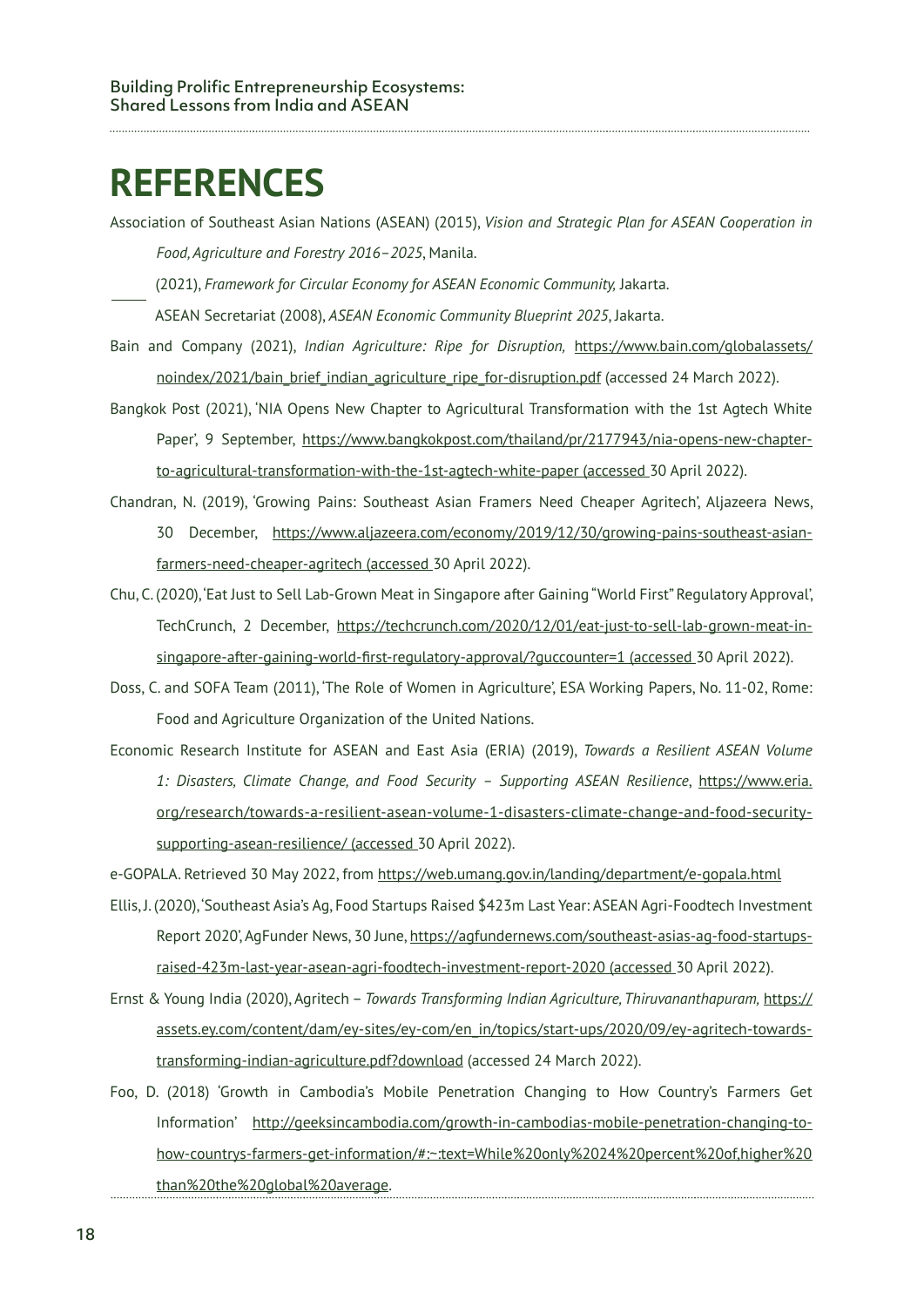### **REFERENCES**

Association of Southeast Asian Nations (ASEAN) (2015), *Vision and Strategic Plan for ASEAN Cooperation in Food, Agriculture and Forestry 2016–2025*, Manila.

(2021), *Framework for Circular Economy for ASEAN Economic Community,* Jakarta.

ASEAN Secretariat (2008), *ASEAN Economic Community Blueprint 2025*, Jakarta.

- Bain and Company (2021), *Indian Agriculture: Ripe for Disruption,* https://www.bain.com/globalassets/ noindex/2021/bain\_brief\_indian\_agriculture\_ripe\_for-disruption.pdf (accessed 24 March 2022).
- Bangkok Post (2021), 'NIA Opens New Chapter to Agricultural Transformation with the 1st Agtech White Paper', 9 September, https://www.bangkokpost.com/thailand/pr/2177943/nia-opens-new-chapterto-agricultural-transformation-with-the-1st-agtech-white-paper (accessed 30 April 2022).
- Chandran, N. (2019), 'Growing Pains: Southeast Asian Framers Need Cheaper Agritech', Aljazeera News, 30 December, https://www.aljazeera.com/economy/2019/12/30/growing-pains-southeast-asianfarmers-need-cheaper-agritech (accessed 30 April 2022).
- Chu, C. (2020), 'Eat Just to Sell Lab-Grown Meat in Singapore after Gaining "World First" Regulatory Approval', TechCrunch, 2 December, https://techcrunch.com/2020/12/01/eat-just-to-sell-lab-grown-meat-insingapore-after-gaining-world-first-regulatory-approval/?guccounter=1 (accessed 30 April 2022).
- Doss, C. and SOFA Team (2011), 'The Role of Women in Agriculture', ESA Working Papers, No. 11-02, Rome: Food and Agriculture Organization of the United Nations.
- Economic Research Institute for ASEAN and East Asia (ERIA) (2019), *Towards a Resilient ASEAN Volume 1: Disasters, Climate Change, and Food Security – Supporting ASEAN Resilience*, https://www.eria. org/research/towards-a-resilient-asean-volume-1-disasters-climate-change-and-food-securitysupporting-asean-resilience/ (accessed 30 April 2022).
- e-GOPALA. Retrieved 30 May 2022, from https://web.umang.gov.in/landing/department/e-gopala.html
- Ellis, J. (2020), 'Southeast Asia's Ag, Food Startups Raised \$423m Last Year: ASEAN Agri-Foodtech Investment Report 2020', AgFunder News, 30 June, https://agfundernews.com/southeast-asias-ag-food-startupsraised-423m-last-year-asean-agri-foodtech-investment-report-2020 (accessed 30 April 2022).
- Ernst & Young India (2020), Agritech *Towards Transforming Indian Agriculture, Thiruvananthapuram,* https:// assets.ey.com/content/dam/ey-sites/ey-com/en\_in/topics/start-ups/2020/09/ey-agritech-towardstransforming-indian-agriculture.pdf?download (accessed 24 March 2022).
- Foo, D. (2018) 'Growth in Cambodia's Mobile Penetration Changing to How Country's Farmers Get Information' http://geeksincambodia.com/growth-in-cambodias-mobile-penetration-changing-tohow-countrys-farmers-get-information/#:~:text=While%20only%2024%20percent%20of,higher%20 than%20the%20global%20average.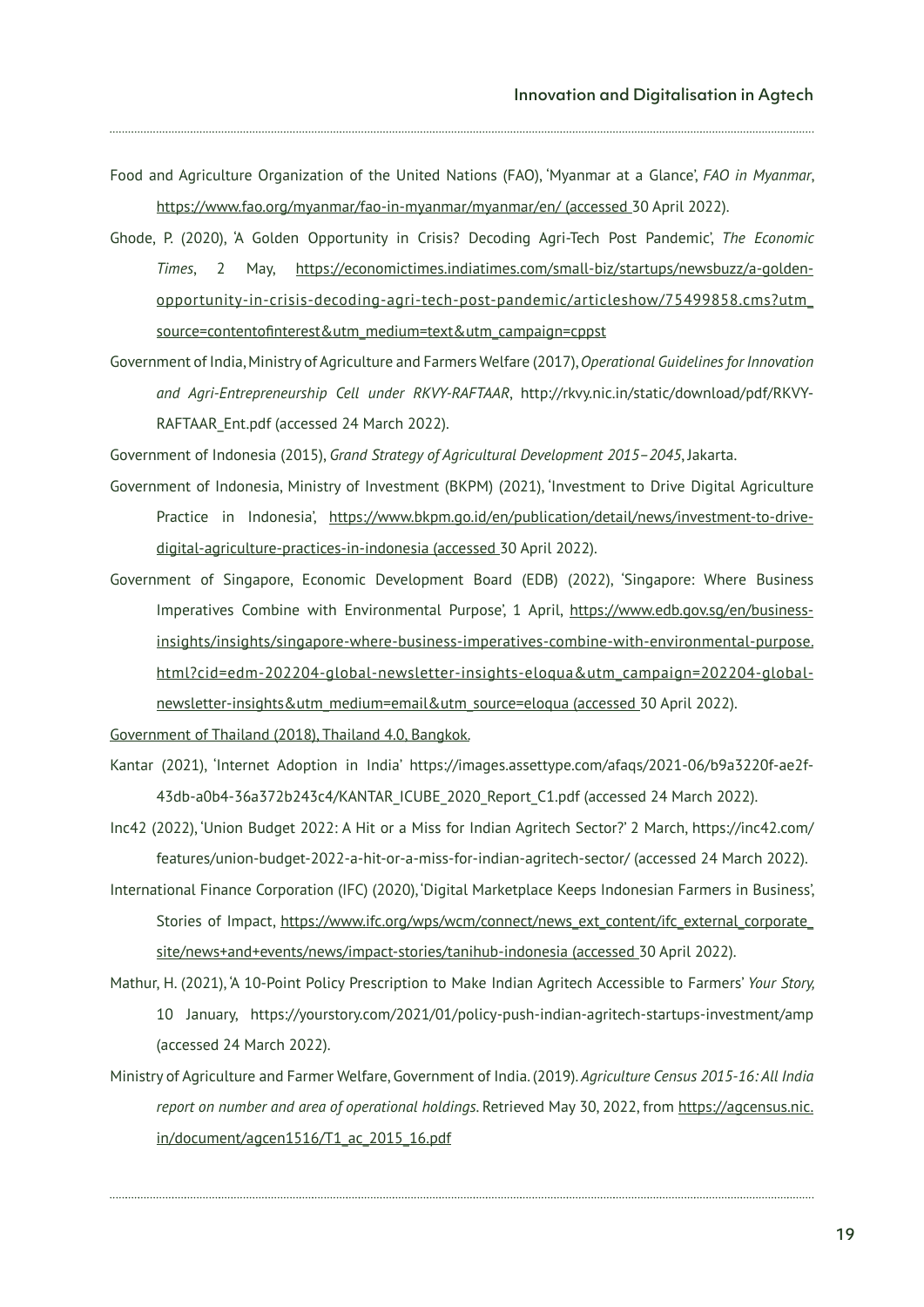- Food and Agriculture Organization of the United Nations (FAO), 'Myanmar at a Glance', *FAO in Myanmar*, https://www.fao.org/myanmar/fao-in-myanmar/myanmar/en/ (accessed 30 April 2022).
- Ghode, P. (2020), 'A Golden Opportunity in Crisis? Decoding Agri-Tech Post Pandemic', *The Economic Times*, 2 May, https://economictimes.indiatimes.com/small-biz/startups/newsbuzz/a-goldenopportunity-in-crisis-decoding-agri-tech-post-pandemic/articleshow/75499858.cms?utm\_ source=contentofinterest&utm\_medium=text&utm\_campaign=cppst
- Government of India, Ministry of Agriculture and Farmers Welfare (2017), *Operational Guidelines for Innovation and Agri-Entrepreneurship Cell under RKVY-RAFTAAR*, http://rkvy.nic.in/static/download/pdf/RKVY-RAFTAAR\_Ent.pdf (accessed 24 March 2022).

Government of Indonesia (2015), *Grand Strategy of Agricultural Development 2015–2045*, Jakarta.

- Government of Indonesia, Ministry of Investment (BKPM) (2021), 'Investment to Drive Digital Agriculture Practice in Indonesia', https://www.bkpm.go.id/en/publication/detail/news/investment-to-drivedigital-agriculture-practices-in-indonesia (accessed 30 April 2022).
- Government of Singapore, Economic Development Board (EDB) (2022), 'Singapore: Where Business Imperatives Combine with Environmental Purpose', 1 April, https://www.edb.gov.sg/en/businessinsights/insights/singapore-where-business-imperatives-combine-with-environmental-purpose. html?cid=edm-202204-global-newsletter-insights-eloqua&utm\_campaign=202204-globalnewsletter-insights&utm\_medium=email&utm\_source=eloqua (accessed 30 April 2022).

Government of Thailand (2018), Thailand 4.0, Bangkok.

- Kantar (2021), 'Internet Adoption in India' https://images.assettype.com/afaqs/2021-06/b9a3220f-ae2f-43db-a0b4-36a372b243c4/KANTAR\_ICUBE\_2020\_Report\_C1.pdf (accessed 24 March 2022).
- Inc42 (2022), 'Union Budget 2022: A Hit or a Miss for Indian Agritech Sector?' 2 March, https://inc42.com/ features/union-budget-2022-a-hit-or-a-miss-for-indian-agritech-sector/ (accessed 24 March 2022).
- International Finance Corporation (IFC) (2020), 'Digital Marketplace Keeps Indonesian Farmers in Business', Stories of Impact, https://www.ifc.org/wps/wcm/connect/news\_ext\_content/ifc\_external\_corporate\_ site/news+and+events/news/impact-stories/tanihub-indonesia (accessed 30 April 2022).
- Mathur, H. (2021), 'A 10-Point Policy Prescription to Make Indian Agritech Accessible to Farmers' *Your Story,*  10 January, https://yourstory.com/2021/01/policy-push-indian-agritech-startups-investment/amp (accessed 24 March 2022).
- Ministry of Agriculture and Farmer Welfare, Government of India. (2019). *Agriculture Census 2015-16: All India report on number and area of operational holdings*. Retrieved May 30, 2022, from https://agcensus.nic. in/document/agcen1516/T1\_ac\_2015\_16.pdf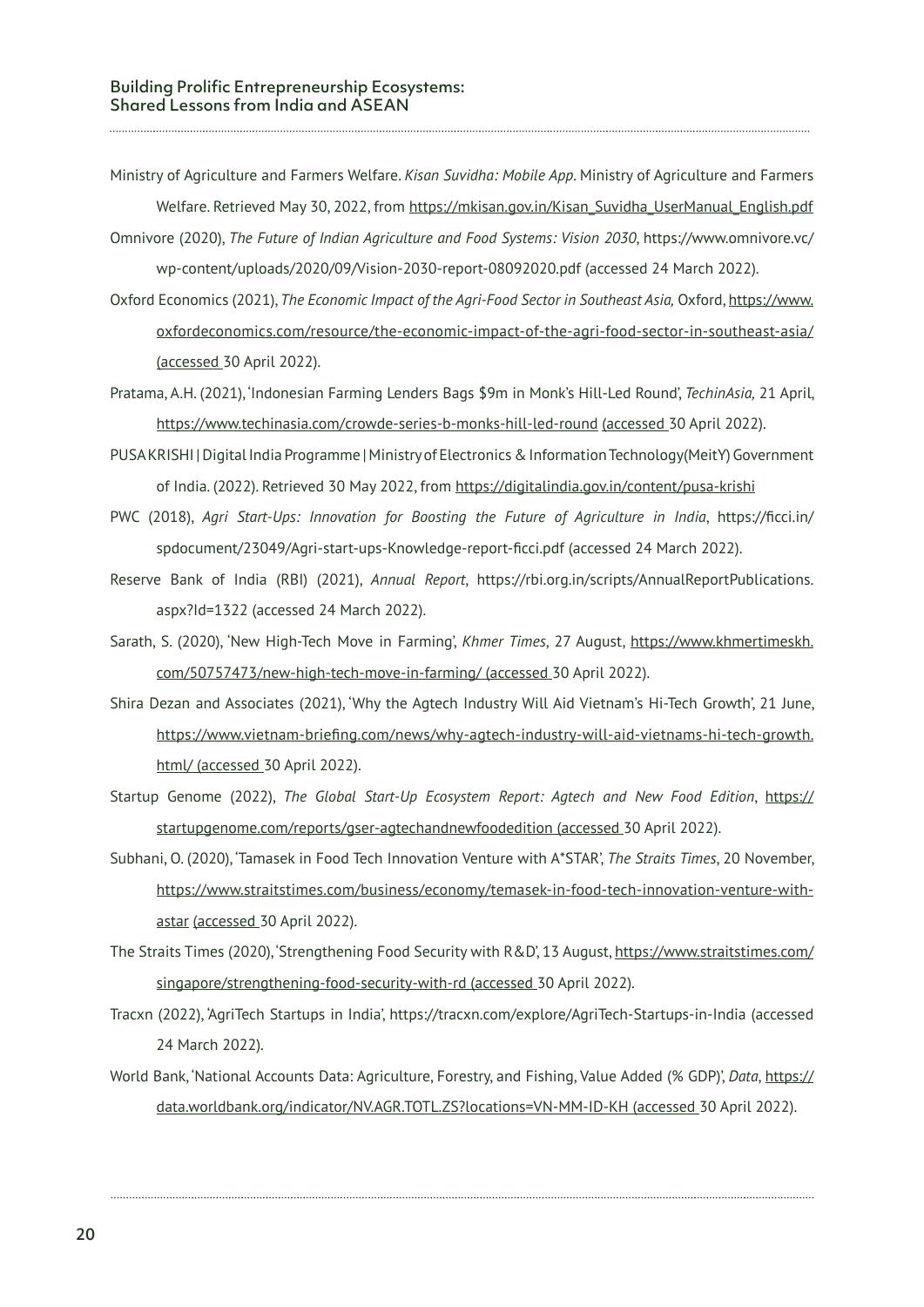- Ministry of Agriculture and Farmers Welfare. *Kisan Suvidha: Mobile App*. Ministry of Agriculture and Farmers Welfare. Retrieved May 30, 2022, from https://mkisan.gov.in/Kisan\_Suvidha\_UserManual\_English.pdf
- Omnivore (2020), *The Future of Indian Agriculture and Food Systems: Vision 2030*, https://www.omnivore.vc/ wp-content/uploads/2020/09/Vision-2030-report-08092020.pdf (accessed 24 March 2022).
- Oxford Economics (2021), *The Economic Impact of the Agri-Food Sector in Southeast Asia,* Oxford, https://www. oxfordeconomics.com/resource/the-economic-impact-of-the-agri-food-sector-in-southeast-asia/ (accessed 30 April 2022).
- Pratama, A.H. (2021), 'Indonesian Farming Lenders Bags \$9m in Monk's Hill-Led Round', *TechinAsia,* 21 April, https://www.techinasia.com/crowde-series-b-monks-hill-led-round (accessed 30 April 2022).
- PUSA KRISHI | Digital India Programme | Ministry of Electronics & Information Technology(MeitY) Government of India. (2022). Retrieved 30 May 2022, from https://digitalindia.gov.in/content/pusa-krishi
- PWC (2018), *Agri Start-Ups: Innovation for Boosting the Future of Agriculture in India*, https://ficci.in/ spdocument/23049/Agri-start-ups-Knowledge-report-ficci.pdf (accessed 24 March 2022).
- Reserve Bank of India (RBI) (2021), *Annual Report*, https://rbi.org.in/scripts/AnnualReportPublications. aspx?Id=1322 (accessed 24 March 2022).
- Sarath, S. (2020), 'New High-Tech Move in Farming', *Khmer Times*, 27 August, https://www.khmertimeskh. com/50757473/new-high-tech-move-in-farming/ (accessed 30 April 2022).
- Shira Dezan and Associates (2021), 'Why the Agtech Industry Will Aid Vietnam's Hi-Tech Growth', 21 June, https://www.vietnam-briefing.com/news/why-agtech-industry-will-aid-vietnams-hi-tech-growth. html/ (accessed 30 April 2022).
- Startup Genome (2022), *The Global Start-Up Ecosystem Report: Agtech and New Food Edition*, https:// startupgenome.com/reports/gser-agtechandnewfoodedition (accessed 30 April 2022).
- Subhani, O. (2020), 'Tamasek in Food Tech Innovation Venture with A\*STAR', *The Straits Times*, 20 November, https://www.straitstimes.com/business/economy/temasek-in-food-tech-innovation-venture-withastar (accessed 30 April 2022).
- The Straits Times (2020), 'Strengthening Food Security with R&D', 13 August, https://www.straitstimes.com/ singapore/strengthening-food-security-with-rd (accessed 30 April 2022).
- Tracxn (2022), 'AgriTech Startups in India', https://tracxn.com/explore/AgriTech-Startups-in-India (accessed 24 March 2022).
- World Bank, 'National Accounts Data: Agriculture, Forestry, and Fishing, Value Added (% GDP)', *Data*, https:// data.worldbank.org/indicator/NV.AGR.TOTL.ZS?locations=VN-MM-ID-KH (accessed 30 April 2022).